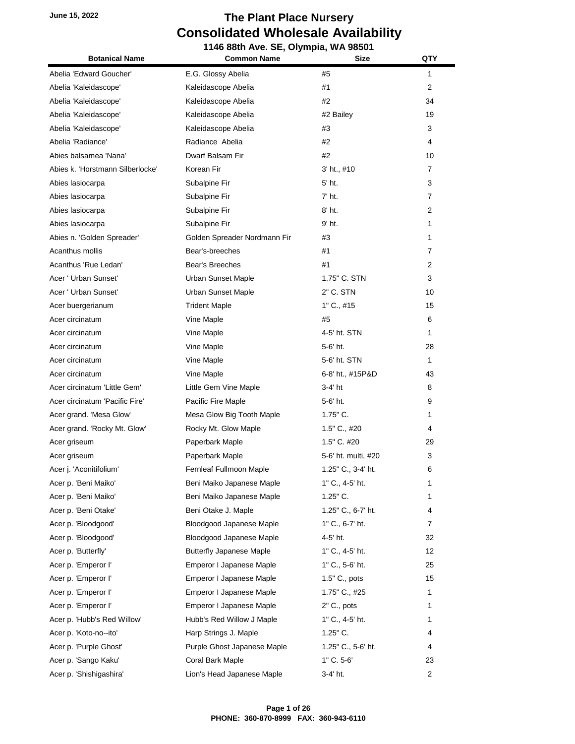#### **June 15, 2022 The Plant Place Nursery Consolidated Wholesale Availability 1146 88th Ave. SE, Olympia, WA 98501**

| <b>Botanical Name</b>            | 00th Ave. OL, Orginpia, WA 3030 i<br><b>Common Name</b><br>Size |                     | <b>QTY</b>     |
|----------------------------------|-----------------------------------------------------------------|---------------------|----------------|
| Abelia 'Edward Goucher'          | E.G. Glossy Abelia                                              | #5                  | 1              |
| Abelia 'Kaleidascope'            | Kaleidascope Abelia                                             | #1                  | $\overline{2}$ |
| Abelia 'Kaleidascope'            | Kaleidascope Abelia                                             | #2                  | 34             |
| Abelia 'Kaleidascope'            | Kaleidascope Abelia                                             | #2 Bailey           | 19             |
| Abelia 'Kaleidascope'            | Kaleidascope Abelia                                             | #3                  | 3              |
| Abelia 'Radiance'                | Radiance Abelia                                                 | #2                  | 4              |
| Abies balsamea 'Nana'            | Dwarf Balsam Fir                                                | #2                  | 10             |
| Abies k. 'Horstmann Silberlocke' | Korean Fir                                                      | 3' ht., #10         | $\overline{7}$ |
| Abies lasiocarpa                 | Subalpine Fir                                                   | 5' ht.              | 3              |
| Abies lasiocarpa                 | Subalpine Fir                                                   | 7' ht.              | 7              |
| Abies lasiocarpa                 | Subalpine Fir                                                   | 8' ht.              | 2              |
| Abies lasiocarpa                 | Subalpine Fir                                                   | 9' ht.              | 1              |
| Abies n. 'Golden Spreader'       | Golden Spreader Nordmann Fir                                    | #3                  | 1              |
| Acanthus mollis                  | Bear's-breeches                                                 | #1                  | 7              |
| Acanthus 'Rue Ledan'             | Bear's Breeches                                                 | #1                  | 2              |
| Acer ' Urban Sunset'             | <b>Urban Sunset Maple</b>                                       | 1.75" C. STN        | 3              |
| Acer ' Urban Sunset'             | <b>Urban Sunset Maple</b>                                       | 2" C. STN           | 10             |
| Acer buergerianum                | <b>Trident Maple</b>                                            | 1" C., #15          | 15             |
| Acer circinatum                  | Vine Maple                                                      | #5                  | 6              |
| Acer circinatum                  | Vine Maple                                                      | 4-5' ht. STN        | 1              |
| Acer circinatum                  | Vine Maple                                                      | 5-6' ht.            | 28             |
| Acer circinatum                  | Vine Maple                                                      | 5-6' ht. STN        | 1              |
| Acer circinatum                  | Vine Maple                                                      | 6-8' ht., #15P&D    | 43             |
| Acer circinatum 'Little Gem'     | Little Gem Vine Maple                                           | 3-4' ht             | 8              |
| Acer circinatum 'Pacific Fire'   | Pacific Fire Maple                                              | 5-6' ht.            | 9              |
| Acer grand. 'Mesa Glow'          | Mesa Glow Big Tooth Maple                                       | $1.75$ " C.         | 1              |
| Acer grand. 'Rocky Mt. Glow'     | Rocky Mt. Glow Maple                                            | 1.5" C., #20        | 4              |
| Acer griseum                     | Paperbark Maple                                                 | 1.5" C. #20         | 29             |
| Acer griseum                     | Paperbark Maple                                                 | 5-6' ht. multi, #20 | 3              |
| Acer j. 'Aconitifolium'          | Fernleaf Fullmoon Maple                                         | 1.25" C., 3-4' ht.  | 6              |
| Acer p. 'Beni Maiko'             | Beni Maiko Japanese Maple                                       | 1" C., 4-5' ht.     | 1              |
| Acer p. 'Beni Maiko'             | Beni Maiko Japanese Maple                                       | $1.25$ " C.         | 1              |
| Acer p. 'Beni Otake'             | Beni Otake J. Maple                                             | 1.25" C., 6-7' ht.  | 4              |
| Acer p. 'Bloodgood'              | Bloodgood Japanese Maple                                        | 1" C., 6-7' ht.     | 7              |
| Acer p. 'Bloodgood'              | Bloodgood Japanese Maple                                        | 4-5' ht.            | 32             |
| Acer p. 'Butterfly'              | <b>Butterfly Japanese Maple</b>                                 | 1" C., 4-5' ht.     | 12             |
| Acer p. 'Emperor I'              | Emperor I Japanese Maple                                        | 1" C., 5-6' ht.     | 25             |
| Acer p. 'Emperor I'              | Emperor I Japanese Maple                                        | $1.5"$ C., pots     | 15             |
| Acer p. 'Emperor I'              | Emperor I Japanese Maple                                        | 1.75" C., #25       | 1              |
| Acer p. 'Emperor I'              | Emperor I Japanese Maple                                        | 2" C., pots         | 1              |
| Acer p. 'Hubb's Red Willow'      | Hubb's Red Willow J Maple                                       | 1" C., 4-5' ht.     | 1              |
| Acer p. 'Koto-no--ito'           | Harp Strings J. Maple                                           | 1.25" C.            | 4              |
| Acer p. 'Purple Ghost'           | Purple Ghost Japanese Maple                                     | 1.25" C., 5-6' ht.  | 4              |
| Acer p. 'Sango Kaku'             | Coral Bark Maple                                                | 1" C. 5-6'          | 23             |
| Acer p. 'Shishigashira'          | Lion's Head Japanese Maple                                      | 3-4' ht.            | 2              |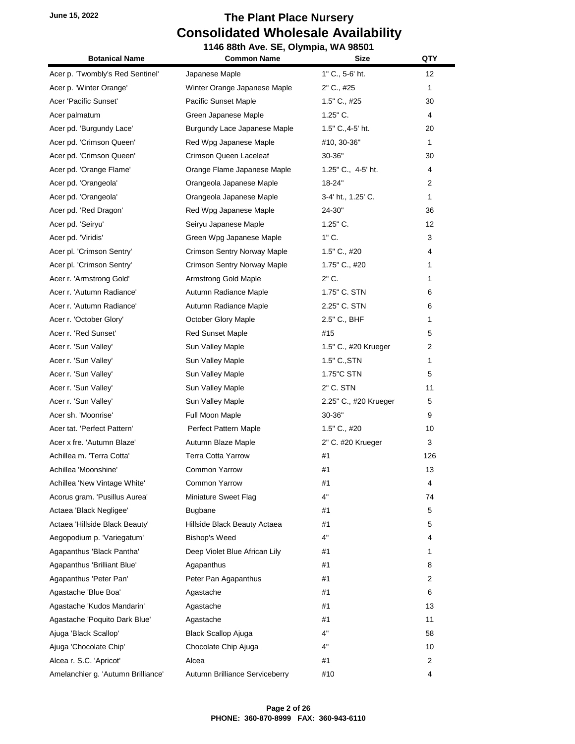#### **June 15, 2022 The Plant Place Nursery Consolidated Wholesale Availability 1146 88th Ave. SE, Olympia, WA 98501**

| <b>Botanical Name</b>              | <b>Common Name</b>             | Size                  | QTY            |
|------------------------------------|--------------------------------|-----------------------|----------------|
| Acer p. 'Twombly's Red Sentinel'   | Japanese Maple                 | 1" C., 5-6' ht.       | 12             |
| Acer p. 'Winter Orange'            | Winter Orange Japanese Maple   | 2" C., #25            | $\mathbf{1}$   |
| Acer 'Pacific Sunset'              | Pacific Sunset Maple           | 1.5" C., #25          | 30             |
| Acer palmatum                      | Green Japanese Maple           | $1.25"$ C.            | 4              |
| Acer pd. 'Burgundy Lace'           | Burgundy Lace Japanese Maple   | 1.5" C., 4-5' ht.     | 20             |
| Acer pd. 'Crimson Queen'           | Red Wpg Japanese Maple         | #10, 30-36"           | $\mathbf{1}$   |
| Acer pd. 'Crimson Queen'           | Crimson Queen Laceleaf         | 30-36"                | 30             |
| Acer pd. 'Orange Flame'            | Orange Flame Japanese Maple    | 1.25" C., 4-5' ht.    | 4              |
| Acer pd. 'Orangeola'               | Orangeola Japanese Maple       | 18-24"                | $\overline{2}$ |
| Acer pd. 'Orangeola'               | Orangeola Japanese Maple       | 3-4' ht., 1.25' C.    | 1              |
| Acer pd. 'Red Dragon'              | Red Wpg Japanese Maple         | 24-30"                | 36             |
| Acer pd. 'Seiryu'                  | Seiryu Japanese Maple          | $1.25"$ C.            | 12             |
| Acer pd. 'Viridis'                 | Green Wpg Japanese Maple       | 1" C.                 | 3              |
| Acer pl. 'Crimson Sentry'          | Crimson Sentry Norway Maple    | $1.5"$ C., #20        | 4              |
| Acer pl. 'Crimson Sentry'          | Crimson Sentry Norway Maple    | 1.75" C., #20         | 1              |
| Acer r. 'Armstrong Gold'           | Armstrong Gold Maple           | $2"$ C.               | 1              |
| Acer r. 'Autumn Radiance'          | Autumn Radiance Maple          | 1.75" C. STN          | 6              |
| Acer r. 'Autumn Radiance'          | Autumn Radiance Maple          | 2.25" C. STN          | 6              |
| Acer r. 'October Glory'            | October Glory Maple            | 2.5" C., BHF          | 1              |
| Acer r. 'Red Sunset'               | <b>Red Sunset Maple</b>        | #15                   | 5              |
| Acer r. 'Sun Valley'               | Sun Valley Maple               | 1.5" C., #20 Krueger  | 2              |
| Acer r. 'Sun Valley'               | Sun Valley Maple               | 1.5" C., STN          | 1              |
| Acer r. 'Sun Valley'               | Sun Valley Maple               | 1.75"C STN            | 5              |
| Acer r. 'Sun Valley'               | Sun Valley Maple               | 2" C. STN             | 11             |
| Acer r. 'Sun Valley'               | Sun Valley Maple               | 2.25" C., #20 Krueger | 5              |
| Acer sh. 'Moonrise'                | Full Moon Maple                | 30-36"                | 9              |
| Acer tat. 'Perfect Pattern'        | Perfect Pattern Maple          | $1.5"$ C., #20        | 10             |
| Acer x fre. 'Autumn Blaze'         | Autumn Blaze Maple             | 2" C. #20 Krueger     | 3              |
| Achillea m. 'Terra Cotta'          | <b>Terra Cotta Yarrow</b>      | #1                    | 126            |
| Achillea 'Moonshine'               | Common Yarrow                  | #1                    | 13             |
| Achillea 'New Vintage White'       | Common Yarrow                  | #1                    | 4              |
| Acorus gram. 'Pusillus Aurea'      | Miniature Sweet Flag           | 4"                    | 74             |
| Actaea 'Black Negligee'            | <b>Bugbane</b>                 | #1                    | 5              |
| Actaea 'Hillside Black Beauty'     | Hillside Black Beauty Actaea   | #1                    | 5              |
| Aegopodium p. 'Variegatum'         | <b>Bishop's Weed</b>           | 4"                    | 4              |
| Agapanthus 'Black Pantha'          | Deep Violet Blue African Lily  | #1                    | 1              |
| Agapanthus 'Brilliant Blue'        | Agapanthus                     | #1                    | 8              |
| Agapanthus 'Peter Pan'             | Peter Pan Agapanthus           | #1                    | 2              |
| Agastache 'Blue Boa'               | Agastache                      | #1                    | 6              |
| Agastache 'Kudos Mandarin'         | Agastache                      | #1                    | 13             |
| Agastache 'Poquito Dark Blue'      | Agastache                      | #1                    | 11             |
| Ajuga 'Black Scallop'              | <b>Black Scallop Ajuga</b>     | 4"                    | 58             |
| Ajuga 'Chocolate Chip'             | Chocolate Chip Ajuga           | 4"                    | 10             |
| Alcea r. S.C. 'Apricot'            | Alcea                          | #1                    | 2              |
| Amelanchier g. 'Autumn Brilliance' | Autumn Brilliance Serviceberry | #10                   | 4              |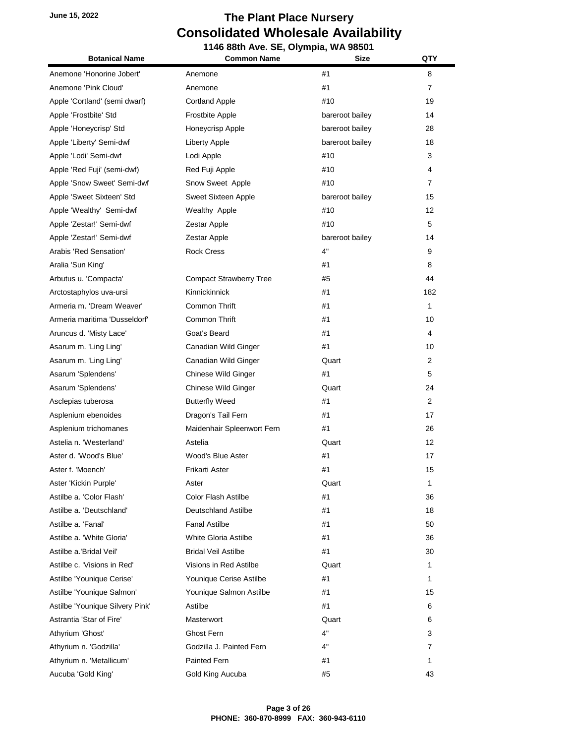| <b>Botanical Name</b>           | 1146 88th Ave. SE, Olympia, WA 98501<br><b>Common Name</b> | Size            | QTY            |
|---------------------------------|------------------------------------------------------------|-----------------|----------------|
| Anemone 'Honorine Jobert'       | Anemone                                                    | #1              | 8              |
| Anemone 'Pink Cloud'            | Anemone                                                    | #1              | $\overline{7}$ |
| Apple 'Cortland' (semi dwarf)   | <b>Cortland Apple</b>                                      | #10             | 19             |
| Apple 'Frostbite' Std           | Frostbite Apple                                            | bareroot bailey | 14             |
| Apple 'Honeycrisp' Std          | Honeycrisp Apple                                           | bareroot bailey | 28             |
| Apple 'Liberty' Semi-dwf        | Liberty Apple                                              | bareroot bailey | 18             |
| Apple 'Lodi' Semi-dwf           | Lodi Apple                                                 | #10             | 3              |
| Apple 'Red Fuji' (semi-dwf)     | Red Fuji Apple                                             | #10             | 4              |
| Apple 'Snow Sweet' Semi-dwf     | Snow Sweet Apple                                           | #10             | $\overline{7}$ |
| Apple 'Sweet Sixteen' Std       | Sweet Sixteen Apple                                        | bareroot bailey | 15             |
| Apple 'Wealthy' Semi-dwf        | Wealthy Apple                                              | #10             | 12             |
| Apple 'Zestar!' Semi-dwf        | Zestar Apple                                               | #10             | 5              |
| Apple 'Zestar!' Semi-dwf        | Zestar Apple                                               | bareroot bailey | 14             |
| Arabis 'Red Sensation'          | <b>Rock Cress</b>                                          | 4"              | 9              |
| Aralia 'Sun King'               |                                                            | #1              | 8              |
| Arbutus u. 'Compacta'           | <b>Compact Strawberry Tree</b>                             | #5              | 44             |
| Arctostaphylos uva-ursi         | Kinnickinnick                                              | #1              | 182            |
| Armeria m. 'Dream Weaver'       | Common Thrift                                              | #1              | $\mathbf{1}$   |
| Armeria maritima 'Dusseldorf'   | Common Thrift                                              | #1              | 10             |
| Aruncus d. 'Misty Lace'         | Goat's Beard                                               | #1              | 4              |
| Asarum m. 'Ling Ling'           | Canadian Wild Ginger                                       | #1              | 10             |
| Asarum m. 'Ling Ling'           | Canadian Wild Ginger                                       | Quart           | 2              |
| Asarum 'Splendens'              | <b>Chinese Wild Ginger</b>                                 | #1              | 5              |
| Asarum 'Splendens'              | Chinese Wild Ginger                                        | Quart           | 24             |
| Asclepias tuberosa              | <b>Butterfly Weed</b>                                      | #1              | $\overline{2}$ |
| Asplenium ebenoides             | Dragon's Tail Fern                                         | #1              | 17             |
| Asplenium trichomanes           | Maidenhair Spleenwort Fern                                 | #1              | 26             |
| Astelia n. 'Westerland'         | Astelia                                                    | Quart           | 12             |
| Aster d. 'Wood's Blue'          | Wood's Blue Aster                                          | #1              | 17             |
| Aster f. 'Moench'               | Frikarti Aster                                             | #1              | 15             |
| Aster 'Kickin Purple'           | Aster                                                      | Quart           | 1              |
| Astilbe a. 'Color Flash'        | Color Flash Astilbe                                        | #1              | 36             |
| Astilbe a. 'Deutschland'        | Deutschland Astilbe                                        | #1              | 18             |
| Astilbe a. 'Fanal'              | <b>Fanal Astilbe</b>                                       | #1              | 50             |
| Astilbe a. 'White Gloria'       | White Gloria Astilbe                                       | #1              | 36             |
| Astilbe a.'Bridal Veil'         | <b>Bridal Veil Astilbe</b>                                 | #1              | 30             |
| Astilbe c. 'Visions in Red'     | Visions in Red Astilbe                                     | Quart           | $\mathbf{1}$   |
| Astilbe 'Younique Cerise'       | Younique Cerise Astilbe                                    | #1              | 1              |
| Astilbe 'Younique Salmon'       | Younique Salmon Astilbe                                    | #1              | 15             |
| Astilbe 'Younique Silvery Pink' | Astilbe                                                    | #1              | 6              |
| Astrantia 'Star of Fire'        | Masterwort                                                 | Quart           | 6              |
| Athyrium 'Ghost'                | Ghost Fern                                                 | 4"              | 3              |
| Athyrium n. 'Godzilla'          | Godzilla J. Painted Fern                                   | 4"              | 7              |
| Athyrium n. 'Metallicum'        | Painted Fern                                               | #1              | 1              |
| Aucuba 'Gold King'              | Gold King Aucuba                                           | #5              | 43             |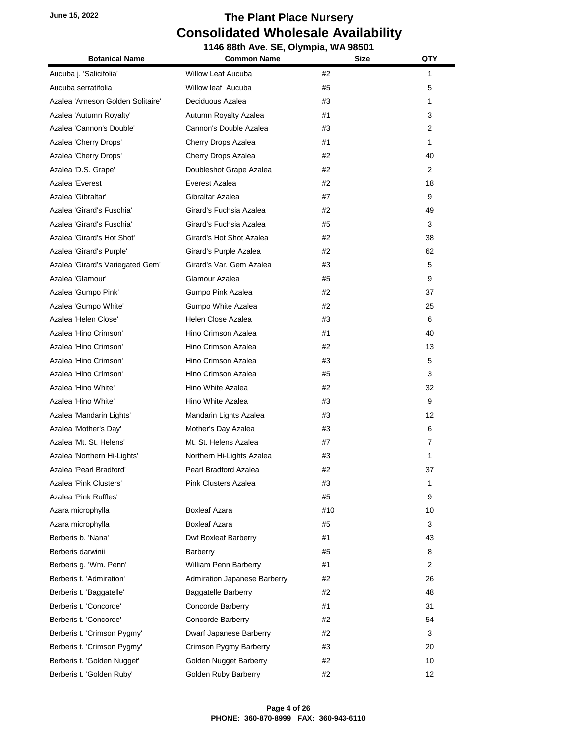**1146 88th Ave. SE, Olympia, WA 98501 Botanical Name Common Name Size QTY** Aucuba j. 'Salicifolia' Willow Leaf Aucuba #2 1 Aucuba serratifolia Willow leaf Aucuba #5 5 Azalea 'Arneson Golden Solitaire' Deciduous Azalea #3 1 Azalea 'Autumn Royalty' Autumn Royalty Azalea  $\mu$   $\mu$ 1  $\mu$  3 3 Azalea 'Cannon's Double' Cannon's Double Azalea  $\#3$  2 2 Azalea 'Cherry Drops' Cherry Drops Azalea #1 1 Azalea 'Cherry Drops' Cherry Drops Azalea #2 40 Azalea 'D.S. Grape' **Doubleshot Grape Azalea** #2 2 2 Azalea 'Everest Everest Azalea #2 18 Azalea 'Gibraltar' Gibraltar Azalea #7 9 Azalea 'Girard's Fuschia' Girard's Fuchsia Azalea #2 49 Azalea 'Girard's Fuschia' Girard's Fuchsia Azalea #5 3 Azalea 'Girard's Hot Shot' Girard's Hot Shot Azalea **42** 42 58 38 Azalea 'Girard's Purple' Girard's Purple Azalea #2 62 Azalea 'Girard's Variegated Gem' Girard's Var. Gem Azalea  $\qquad \qquad \qquad \qquad \qquad \qquad \qquad 5$ Azalea 'Glamour' Glamour Azalea #5 9 Azalea 'Gumpo Pink' Gumpo Pink Azalea #2 37 Azalea 'Gumpo White' Gumpo White Azalea #2 25 Azalea 'Helen Close' Helen Close Azalea #3 6 Azalea 'Hino Crimson' Hino Crimson Azalea #1 40 Azalea 'Hino Crimson' Hino Crimson Azalea #2 13 Azalea 'Hino Crimson' Hino Crimson Azalea #3 5 Azalea 'Hino Crimson' Hino Crimson Azalea #5 3 Azalea 'Hino White' Hino White Azalea #2 32 Azalea 'Hino White' Hino White Azalea #3 9 Azalea 'Mandarin Lights' **Mandarin Lights Azalea 12** 12 Azalea 'Mother's Day' **Mother's Day Azalea 2008 2008 2008 2008 2008 2008 2008 2008 6** Azalea 'Mt. St. Helens' Mt. St. Helens Azalea #7 7 Azalea 'Northern Hi-Lights' Northern Hi-Lights Azalea #3 1 Azalea 'Pearl Bradford' Pearl Bradford Azalea #2 37 Azalea 'Pink Clusters' Pink Clusters Azalea #3 1 Azalea 'Pink Ruffles' #5 9 Azara microphylla **Boxleaf Azara** #10 **10** 10 Azara microphylla **Boxleaf Azara 2008 2008 2008 3** 3 Berberis b. 'Nana' **Dwf Boxleaf Barberry #1**  $\qquad$  #1 43 Berberis darwinii Barberry #5 8 Berberis g. 'Wm. Penn' William Penn Barberry #1 2 Berberis t. 'Admiration' Admiration Japanese Barberry #2 26 Berberis t. 'Baggatelle' Baggatelle Barberry #2 #2 48 Berberis t. 'Concorde' Concorde Barberry #1 31 Berberis t. 'Concorde' Concorde Barberry #2 54 Berberis t. 'Crimson Pygmy' Dwarf Japanese Barberry  $\#2$   $\qquad \qquad$  3 Berberis t. 'Crimson Pygmy' Crimson Pygmy Barberry  $#3$   $#3$  20 Berberis t. 'Golden Nugget' Golden Nugget Barberry #2 #2 10 Berberis t. 'Golden Ruby' Golden Ruby Barberry #2 #2 12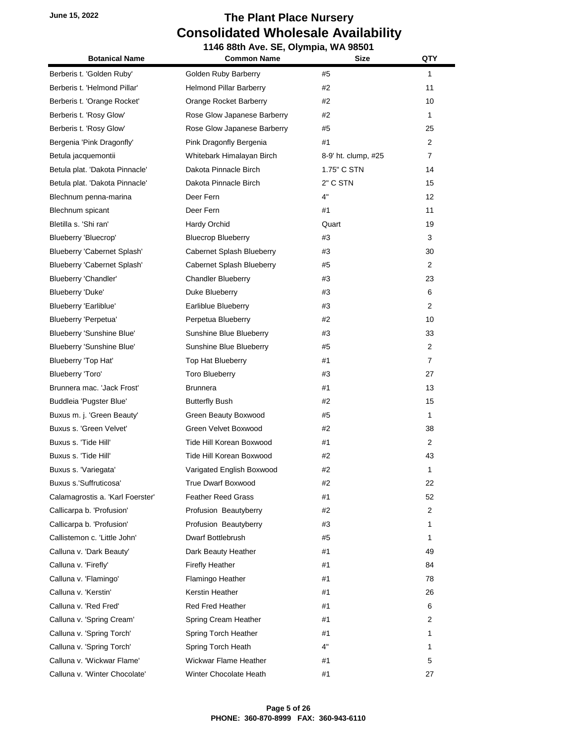| <b>Botanical Name</b>            | 1146 88th Ave. SE, Olympia, WA 98501<br><b>Common Name</b><br>Size |                     | QTY               |
|----------------------------------|--------------------------------------------------------------------|---------------------|-------------------|
|                                  |                                                                    |                     |                   |
| Berberis t. 'Golden Ruby'        | Golden Ruby Barberry                                               | #5                  | $\mathbf{1}$      |
| Berberis t. 'Helmond Pillar'     | <b>Helmond Pillar Barberry</b>                                     | #2                  | 11                |
| Berberis t. 'Orange Rocket'      | Orange Rocket Barberry                                             | #2                  | 10                |
| Berberis t. 'Rosy Glow'          | Rose Glow Japanese Barberry                                        | #2                  | $\mathbf{1}$      |
| Berberis t. 'Rosy Glow'          | Rose Glow Japanese Barberry                                        | #5                  | 25                |
| Bergenia 'Pink Dragonfly'        | Pink Dragonfly Bergenia                                            | #1                  | $\overline{2}$    |
| Betula jacquemontii              | Whitebark Himalayan Birch                                          | 8-9' ht. clump, #25 | $\overline{7}$    |
| Betula plat. 'Dakota Pinnacle'   | Dakota Pinnacle Birch                                              | 1.75" C STN         | 14                |
| Betula plat. 'Dakota Pinnacle'   | Dakota Pinnacle Birch                                              | 2" C STN            | 15                |
| Blechnum penna-marina            | Deer Fern                                                          | 4"                  | $12 \overline{ }$ |
| Blechnum spicant                 | Deer Fern                                                          | #1                  | 11                |
| Bletilla s. 'Shi ran'            | Hardy Orchid                                                       | Quart               | 19                |
| Blueberry 'Bluecrop'             | <b>Bluecrop Blueberry</b>                                          | #3                  | 3                 |
| Blueberry 'Cabernet Splash'      | Cabernet Splash Blueberry                                          | #3                  | 30                |
| Blueberry 'Cabernet Splash'      | Cabernet Splash Blueberry                                          | #5                  | $\overline{2}$    |
| Blueberry 'Chandler'             | <b>Chandler Blueberry</b>                                          | #3                  | 23                |
| Blueberry 'Duke'                 | Duke Blueberry                                                     | #3                  | 6                 |
| Blueberry 'Earliblue'            | Earliblue Blueberry                                                | #3                  | $\overline{2}$    |
| Blueberry 'Perpetua'             | Perpetua Blueberry                                                 | #2                  | 10                |
| Blueberry 'Sunshine Blue'        | Sunshine Blue Blueberry                                            | #3                  | 33                |
| Blueberry 'Sunshine Blue'        | Sunshine Blue Blueberry                                            | #5                  | $\overline{2}$    |
| Blueberry 'Top Hat'              | Top Hat Blueberry                                                  | #1                  | $\overline{7}$    |
| Blueberry 'Toro'                 | <b>Toro Blueberry</b>                                              | #3                  | 27                |
| Brunnera mac. 'Jack Frost'       | <b>Brunnera</b>                                                    | #1                  | 13                |
| Buddleia 'Pugster Blue'          | <b>Butterfly Bush</b>                                              | #2                  | 15                |
| Buxus m. j. 'Green Beauty'       | Green Beauty Boxwood                                               | #5                  | $\mathbf{1}$      |
| Buxus s. 'Green Velvet'          | Green Velvet Boxwood                                               | #2                  | 38                |
| Buxus s. 'Tide Hill'             | Tide Hill Korean Boxwood                                           | #1                  | 2                 |
| Buxus s. 'Tide Hill'             | Tide Hill Korean Boxwood                                           | #2                  | 43                |
| Buxus s. 'Variegata'             | Varigated English Boxwood                                          | #2                  | 1                 |
| Buxus s.'Suffruticosa'           | <b>True Dwarf Boxwood</b>                                          | #2                  | 22                |
| Calamagrostis a. 'Karl Foerster' | <b>Feather Reed Grass</b>                                          | #1                  | 52                |
| Callicarpa b. 'Profusion'        | Profusion Beautyberry                                              | #2                  | $\overline{2}$    |
| Callicarpa b. 'Profusion'        | Profusion Beautyberry                                              | #3                  | 1                 |
| Callistemon c. 'Little John'     | Dwarf Bottlebrush                                                  | #5                  | 1                 |
| Calluna v. 'Dark Beauty'         | Dark Beauty Heather                                                | #1                  | 49                |
| Calluna v. 'Firefly'             | <b>Firefly Heather</b>                                             | #1                  | 84                |
| Calluna v. 'Flamingo'            | Flamingo Heather                                                   | #1                  | 78                |
| Calluna v. 'Kerstin'             | Kerstin Heather                                                    | #1                  | 26                |
| Calluna v. 'Red Fred'            | <b>Red Fred Heather</b>                                            | #1                  | 6                 |
| Calluna v. 'Spring Cream'        | Spring Cream Heather                                               | #1                  | 2                 |
| Calluna v. 'Spring Torch'        | Spring Torch Heather                                               | #1                  | 1                 |
| Calluna v. 'Spring Torch'        | Spring Torch Heath                                                 | 4"                  | 1                 |
| Calluna v. 'Wickwar Flame'       | Wickwar Flame Heather                                              | #1                  | 5                 |
| Calluna v. 'Winter Chocolate'    | Winter Chocolate Heath                                             | #1                  | 27                |
|                                  |                                                                    |                     |                   |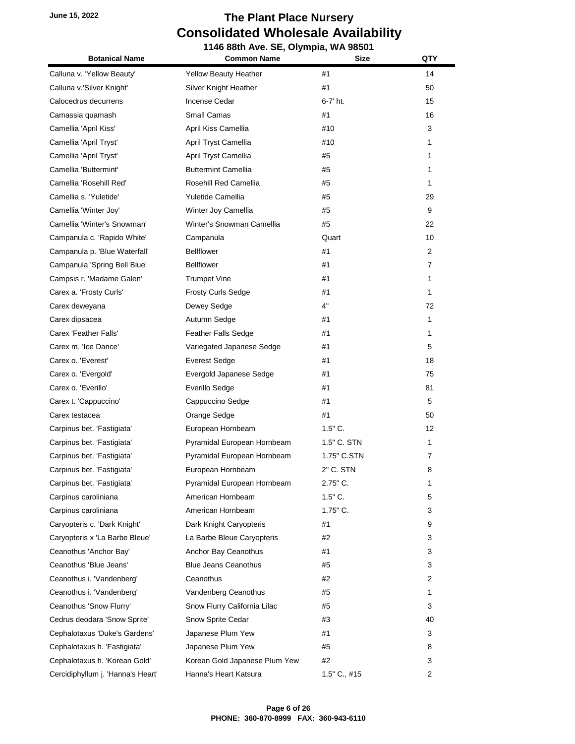**1146 88th Ave. SE, Olympia, WA 98501 Botanical Name Common Name Size QTY** Calluna v. 'Yellow Beauty' Yellow Beauty Heather #1 14 Calluna v.'Silver Knight' Silver Knight Heather #1 50 Calocedrus decurrens Incense Cedar 6-7' ht. 15 Camassia quamash **Small Camas 16** 16 16 Camellia 'April Kiss' **April Kiss Camellia 410** 410 3 Camellia 'April Tryst' April Tryst Camellia #10 1 Camellia 'April Tryst' April Tryst Camellia #5 1 Camellia 'Buttermint' Buttermint Camellia #5 1 Camellia 'Rosehill Red' Rosehill Red Camellia #5 1 Camellia s. 'Yuletide' Yuletide Camellia #5 29 Camellia 'Winter Joy' Winter Joy Camellia #5 9 Camellia 'Winter's Snowman' Winter's Snowman Camellia #5 22 Campanula c. 'Rapido White' Campanula Quart 10 Campanula p. 'Blue Waterfall' Bellflower #1 41 2 2 Campanula 'Spring Bell Blue' Bellflower #1 7 7 7 Campsis r. 'Madame Galen' Trumpet Vine #1 1 Carex a. 'Frosty Curls' Frosty Curls Sedge #1 1 Carex deweyana **Dewey Sedge** 4" 4" 72 Carex dipsacea Autumn Sedge #1 1 Carex 'Feather Falls' **Feather Falls Sedge** #1 1 1 Carex m. 'Ice Dance' **Cares** Variegated Japanese Sedge  $\#1$  5 Carex o. 'Everest' **Exercises** Everest Sedge **18** 18 Carex o. 'Evergold' Evergold Japanese Sedge #1 75 Carex o. 'Everillo' Everillo Sedge #1 81 Carex t. 'Cappuccino' Cappuccino Sedge #1 5 Carex testacea **Cares Cares Community** Orange Sedge **41** 41 50 Carpinus bet. 'Fastigiata' European Hornbeam 1.5" C. 12 Carpinus bet. 'Fastigiata' Pyramidal European Hornbeam 1.5" C. STN 1 Carpinus bet. 'Fastigiata' Pyramidal European Hornbeam 1.75" C.STN 7 Carpinus bet. 'Fastigiata' European Hornbeam 2" C. STN 8 Carpinus bet. 'Fastigiata' Pyramidal European Hornbeam 2.75" C. 1 Carpinus caroliniana **American Hornbeam** 1.5" C. 2006 1.5" C. 2006 1.5" C. Carpinus caroliniana **American Hornbeam** 1.75" C. 2008 3 Caryopteris c. 'Dark Knight' Dark Knight Caryopteris #1 9 9 Caryopteris x 'La Barbe Bleue' La Barbe Bleue Caryopteris #2 42 3 3 Ceanothus 'Anchor Bay' **Anchor Bay Ceanothus #1** 41 3 Ceanothus 'Blue Jeans' Blue Jeans Ceanothus #5 45 3 Ceanothus i. 'Vandenberg' Ceanothus #2 2 Ceanothus i. 'Vandenberg' Vandenberg Ceanothus #5 1 Ceanothus 'Snow Flurry' Snow Flurry California Lilac #5 3 3 Cedrus deodara 'Snow Sprite' Snow Sprite Cedar 50 2008 2009 2012 43 Cephalotaxus 'Duke's Gardens' Japanese Plum Yew  $\#1$   $\#3$ Cephalotaxus h. 'Fastigiata' Japanese Plum Yew #5 8 Cephalotaxus h. 'Korean Gold' Korean Gold Japanese Plum Yew #2 3 Cercidiphyllum j. 'Hanna's Heart' Hanna's Heart Katsura 1.5" C., #15 2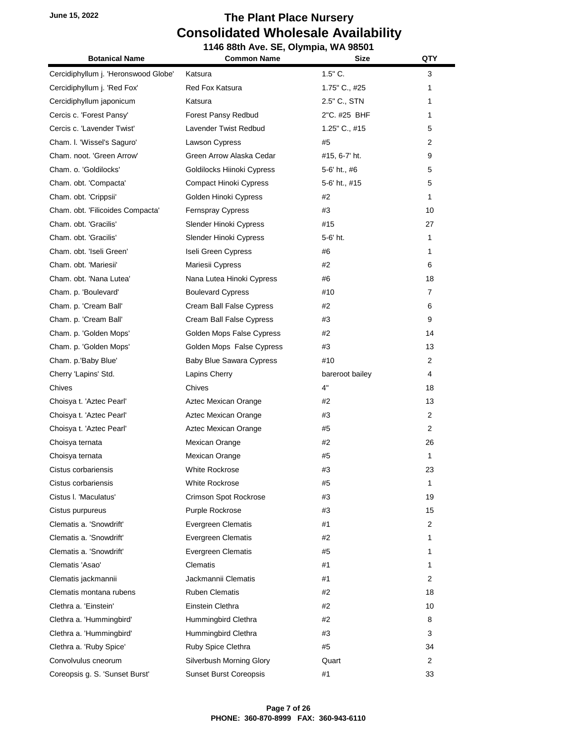Ŧ.

|                                      | 1146 88th Ave. SE, Olympia, WA 98501 |                 |                |
|--------------------------------------|--------------------------------------|-----------------|----------------|
| <b>Botanical Name</b>                | <b>Common Name</b>                   | <b>Size</b>     | QTY            |
| Cercidiphyllum j. 'Heronswood Globe' | Katsura                              | $1.5"$ C.       | 3              |
| Cercidiphyllum j. 'Red Fox'          | Red Fox Katsura                      | 1.75" C., #25   | 1              |
| Cercidiphyllum japonicum             | Katsura                              | 2.5" C., STN    | 1              |
| Cercis c. 'Forest Pansy'             | Forest Pansy Redbud                  | 2"C. #25 BHF    | 1.             |
| Cercis c. 'Lavender Twist'           | Lavender Twist Redbud                | 1.25" C., #15   | 5              |
| Cham. I. 'Wissel's Saguro'           | Lawson Cypress                       | #5              | 2              |
| Cham. noot. 'Green Arrow'            | Green Arrow Alaska Cedar             | #15, 6-7' ht.   | 9              |
| Cham. o. 'Goldilocks'                | Goldilocks Hiinoki Cypress           | 5-6' ht., #6    | 5              |
| Cham. obt. 'Compacta'                | Compact Hinoki Cypress               | 5-6' ht., #15   | 5              |
| Cham. obt. 'Crippsii'                | Golden Hinoki Cypress                | #2              | 1              |
| Cham. obt. 'Filicoides Compacta'     | Fernspray Cypress                    | #3              | 10             |
| Cham. obt. 'Gracilis'                | Slender Hinoki Cypress               | #15             | 27             |
| Cham. obt. 'Gracilis'                | Slender Hinoki Cypress               | 5-6' ht.        | 1              |
| Cham. obt. 'Iseli Green'             | Iseli Green Cypress                  | #6              | 1              |
| Cham. obt. 'Mariesii'                | Mariesii Cypress                     | #2              | 6              |
| Cham. obt. 'Nana Lutea'              | Nana Lutea Hinoki Cypress            | #6              | 18             |
| Cham. p. 'Boulevard'                 | <b>Boulevard Cypress</b>             | #10             | $\overline{7}$ |
| Cham. p. 'Cream Ball'                | Cream Ball False Cypress             | #2              | 6              |
| Cham. p. 'Cream Ball'                | Cream Ball False Cypress             | #3              | 9              |
| Cham. p. 'Golden Mops'               | Golden Mops False Cypress            | #2              | 14             |
| Cham. p. 'Golden Mops'               | Golden Mops False Cypress            | #3              | 13             |
| Cham. p.'Baby Blue'                  | Baby Blue Sawara Cypress             | #10             | 2              |
| Cherry 'Lapins' Std.                 | Lapins Cherry                        | bareroot bailey | 4              |
| Chives                               | Chives                               | 4"              | 18             |
| Choisya t. 'Aztec Pearl'             | Aztec Mexican Orange                 | #2              | 13             |
| Choisya t. 'Aztec Pearl'             | Aztec Mexican Orange                 | #3              | $\overline{2}$ |
| Choisya t. 'Aztec Pearl'             | Aztec Mexican Orange                 | #5              | $\overline{2}$ |
| Choisya ternata                      | Mexican Orange                       | #2              | 26             |
| Choisya ternata                      | Mexican Orange                       | #5              | 1              |
| Cistus corbariensis                  | White Rockrose                       | #3              | 23             |
| Cistus corbariensis                  | White Rockrose                       | #5              | 1              |
| Cistus I. 'Maculatus'                | <b>Crimson Spot Rockrose</b>         | #3              | 19             |
| Cistus purpureus                     | Purple Rockrose                      | #3              | 15             |
| Clematis a. 'Snowdrift'              | <b>Evergreen Clematis</b>            | #1              | $\overline{2}$ |
| Clematis a. 'Snowdrift'              | Evergreen Clematis                   | #2              | 1              |
| Clematis a. 'Snowdrift'              | Evergreen Clematis                   | #5              | 1              |
| Clematis 'Asao'                      | Clematis                             | #1              | 1              |
| Clematis jackmannii                  | Jackmannii Clematis                  | #1              | $\overline{2}$ |
| Clematis montana rubens              | Ruben Clematis                       | #2              | 18             |
| Clethra a. 'Einstein'                | Einstein Clethra                     | #2              | 10             |
| Clethra a. 'Hummingbird'             | Hummingbird Clethra                  | #2              | 8              |
| Clethra a. 'Hummingbird'             | Hummingbird Clethra                  | #3              | 3              |
| Clethra a. 'Ruby Spice'              | Ruby Spice Clethra                   | #5              | 34             |
| Convolvulus cneorum                  | Silverbush Morning Glory             | Quart           | 2              |
| Coreopsis g. S. 'Sunset Burst'       | <b>Sunset Burst Coreopsis</b>        | #1              | 33             |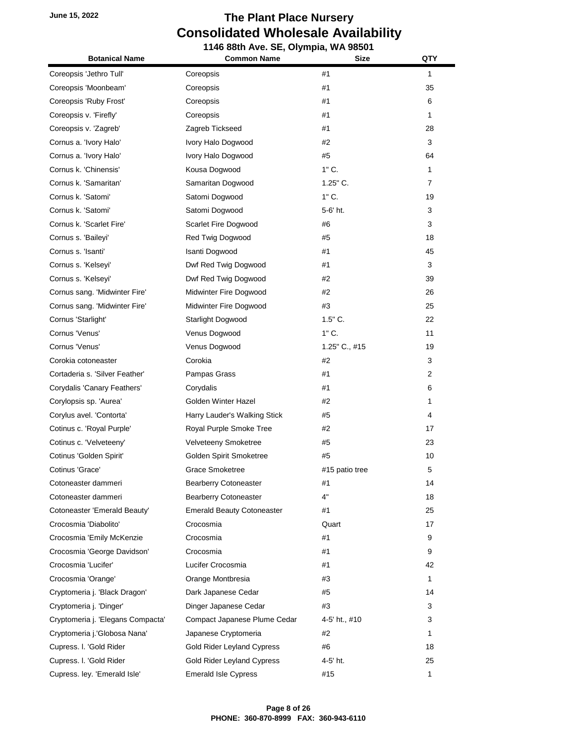**1146 88th Ave. SE, Olympia, WA 98501 Botanical Name Common Name Size QTY** Coreopsis 'Jethro Tull' Coreopsis #1 1 Coreopsis 'Moonbeam' Coreopsis #1 35 Coreopsis 'Ruby Frost' Coreopsis #1 6 Coreopsis v. 'Firefly' Coreopsis #1 1 Coreopsis v. 'Zagreb' Zagreb Tickseed #1 28 Cornus a. 'Ivory Halo' Ivory Halo Dogwood #2 42 3 3 Cornus a. 'Ivory Halo' Ivory Halo Dogwood **45 64 64** Cornus k. 'Chinensis' Kousa Dogwood 1" C. 1 Cornus k. 'Samaritan' Samaritan Dogwood 1.25" C. 7 Cornus k. 'Satomi' Satomi Dogwood 1" C. 19 Cornus k. 'Satomi' Satomi Dogwood 5-6' ht. 3 Cornus k. 'Scarlet Fire' Scarlet Fire Dogwood #6 3 3 Cornus s. 'Baileyi' **Red Twig Dogwood** #5 18 18 Cornus s. 'Isanti' Isanti Dogwood #1 45 Cornus s. 'Kelseyi' Dwf Red Twig Dogwood #1 3 Cornus s. 'Kelseyi' Dwf Red Twig Dogwood #2 39 Cornus sang. 'Midwinter Fire' Midwinter Fire Dogwood #2 26 Cornus sang. 'Midwinter Fire' Midwinter Fire Dogwood #3 25 Cornus 'Starlight' Starlight Dogwood 1.5" C. 22 Cornus 'Venus' Venus Dogwood 1" C. 11 Cornus 'Venus' Venus Dogwood 1.25" C., #15 19 Corokia cotoneaster Corokia #2 3 Cortaderia s. 'Silver Feather' Pampas Grass #1 2 Corydalis 'Canary Feathers' Corydalis #1 6 Corylopsis sp. 'Aurea' Golden Winter Hazel #2 1 Corylus avel. 'Contorta' 
Harry Lauder's Walking Stick  $\#5$  
4 4 Cotinus c. 'Royal Purple' Royal Purple Smoke Tree  $\#2$   $\qquad \qquad$  17 Cotinus c. 'Velveteeny' Velveteeny Smoketree #5 23 Cotinus 'Golden Spirit' Golden Spirit Smoketree #5 10 Cotinus 'Grace' Grace Smoketree #15 patio tree 5 Cotoneaster dammeri **Bearberry Cotoneaster 14** 14 14 Cotoneaster dammeri Bearberry Cotoneaster 4" 18 Cotoneaster 'Emerald Beauty' Emerald Beauty Cotoneaster #1 25 Crocosmia 'Diabolito' Crocosmia Quart 17 Crocosmia 'Emily McKenzie Crocosmia #1 9 Crocosmia 'George Davidson' Crocosmia #1 9 Crocosmia 'Lucifer' Lucifer Crocosmia #1 42 Crocosmia 'Orange' Orange Montbresia #3 1 Cryptomeria j. 'Black Dragon' Dark Japanese Cedar #5 14 Cryptomeria j. 'Dinger' **Dinger Japanese Cedar** #3 3 3 Cryptomeria j. 'Elegans Compacta' Compact Japanese Plume Cedar 4-5' ht., #10 3 Cryptomeria j.'Globosa Nana' Japanese Cryptomeria  $\#2$   $\#2$  1 Cupress. I. 'Gold Rider Gold Rider Gold Rider Leyland Cypress #6 18 Cupress. l. 'Gold Rider Gold Rider Leyland Cypress 4-5' ht. 25 Cupress. ley. 'Emerald Isle' Emerald Isle Cypress #15 1 1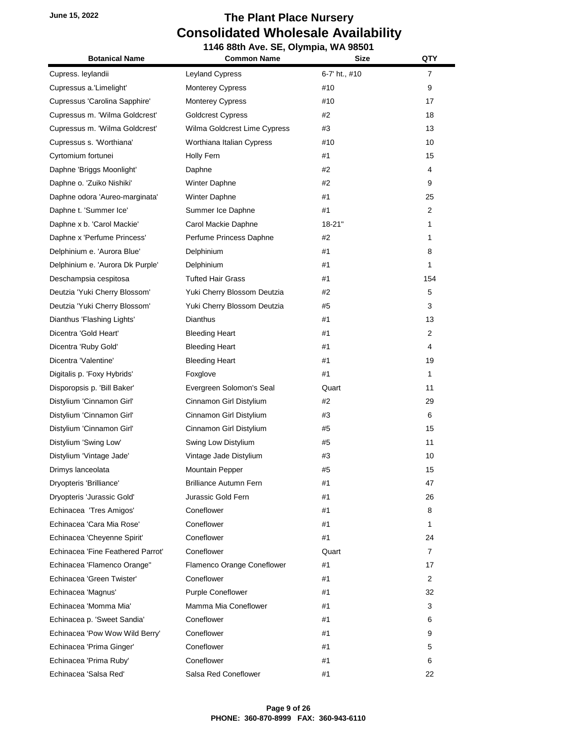#### **June 15, 2022 The Plant Place Nursery Consolidated Wholesale Availability 1146 88th Ave. SE, Olympia, WA 98501**

| <b>Botanical Name</b>             | <b>Common Name</b>            | <b>Size</b>   | QTY            |
|-----------------------------------|-------------------------------|---------------|----------------|
| Cupress. leylandii                | <b>Leyland Cypress</b>        | 6-7' ht., #10 | 7              |
| Cupressus a.'Limelight'           | <b>Monterey Cypress</b>       | #10           | 9              |
| Cupressus 'Carolina Sapphire'     | <b>Monterey Cypress</b>       | #10           | 17             |
| Cupressus m. 'Wilma Goldcrest'    | <b>Goldcrest Cypress</b>      | #2            | 18             |
| Cupressus m. 'Wilma Goldcrest'    | Wilma Goldcrest Lime Cypress  | #3            | 13             |
| Cupressus s. 'Worthiana'          | Worthiana Italian Cypress     | #10           | 10             |
| Cyrtomium fortunei                | Holly Fern                    | #1            | 15             |
| Daphne 'Briggs Moonlight'         | Daphne                        | #2            | 4              |
| Daphne o. 'Zuiko Nishiki'         | Winter Daphne                 | #2            | 9              |
| Daphne odora 'Aureo-marginata'    | Winter Daphne                 | #1            | 25             |
| Daphne t. 'Summer Ice'            | Summer Ice Daphne             | #1            | 2              |
| Daphne x b. 'Carol Mackie'        | Carol Mackie Daphne           | 18-21"        | 1              |
| Daphne x 'Perfume Princess'       | Perfume Princess Daphne       | #2            | 1              |
| Delphinium e. 'Aurora Blue'       | Delphinium                    | #1            | 8              |
| Delphinium e. 'Aurora Dk Purple'  | Delphinium                    | #1            | 1              |
| Deschampsia cespitosa             | <b>Tufted Hair Grass</b>      | #1            | 154            |
| Deutzia 'Yuki Cherry Blossom'     | Yuki Cherry Blossom Deutzia   | #2            | 5              |
| Deutzia 'Yuki Cherry Blossom'     | Yuki Cherry Blossom Deutzia   | #5            | 3              |
| Dianthus 'Flashing Lights'        | <b>Dianthus</b>               | #1            | 13             |
| Dicentra 'Gold Heart'             | <b>Bleeding Heart</b>         | #1            | 2              |
| Dicentra 'Ruby Gold'              | <b>Bleeding Heart</b>         | #1            | 4              |
| Dicentra 'Valentine'              | <b>Bleeding Heart</b>         | #1            | 19             |
| Digitalis p. 'Foxy Hybrids'       | Foxglove                      | #1            | 1              |
| Disporopsis p. 'Bill Baker'       | Evergreen Solomon's Seal      | Quart         | 11             |
| Distylium 'Cinnamon Girl'         | Cinnamon Girl Distylium       | #2            | 29             |
| Distylium 'Cinnamon Girl'         | Cinnamon Girl Distylium       | #3            | 6              |
| Distylium 'Cinnamon Girl'         | Cinnamon Girl Distylium       | #5            | 15             |
| Distylium 'Swing Low'             | Swing Low Distylium           | #5            | 11             |
| Distylium 'Vintage Jade'          | Vintage Jade Distylium        | #3            | 10             |
| Drimys lanceolata                 | Mountain Pepper               | #5            | 15             |
| Dryopteris 'Brilliance'           | <b>Brilliance Autumn Fern</b> | #1            | 47             |
| Dryopteris 'Jurassic Gold'        | Jurassic Gold Fern            | #1            | 26             |
| Echinacea 'Tres Amigos'           | Coneflower                    | #1            | 8              |
| Echinacea 'Cara Mia Rose'         | Coneflower                    | #1            | 1              |
| Echinacea 'Cheyenne Spirit'       | Coneflower                    | #1            | 24             |
| Echinacea 'Fine Feathered Parrot' | Coneflower                    | Quart         | $\overline{7}$ |
| Echinacea 'Flamenco Orange"       | Flamenco Orange Coneflower    | #1            | 17             |
| Echinacea 'Green Twister'         | Coneflower                    | #1            | 2              |
| Echinacea 'Magnus'                | <b>Purple Coneflower</b>      | #1            | 32             |
| Echinacea 'Momma Mia'             | Mamma Mia Coneflower          | #1            | 3              |
| Echinacea p. 'Sweet Sandia'       | Coneflower                    | #1            | 6              |
| Echinacea 'Pow Wow Wild Berry'    | Coneflower                    | #1            | 9              |
| Echinacea 'Prima Ginger'          | Coneflower                    | #1            | 5              |
| Echinacea 'Prima Ruby'            | Coneflower                    | #1            | 6              |
| Echinacea 'Salsa Red'             | Salsa Red Coneflower          | #1            | 22             |
|                                   |                               |               |                |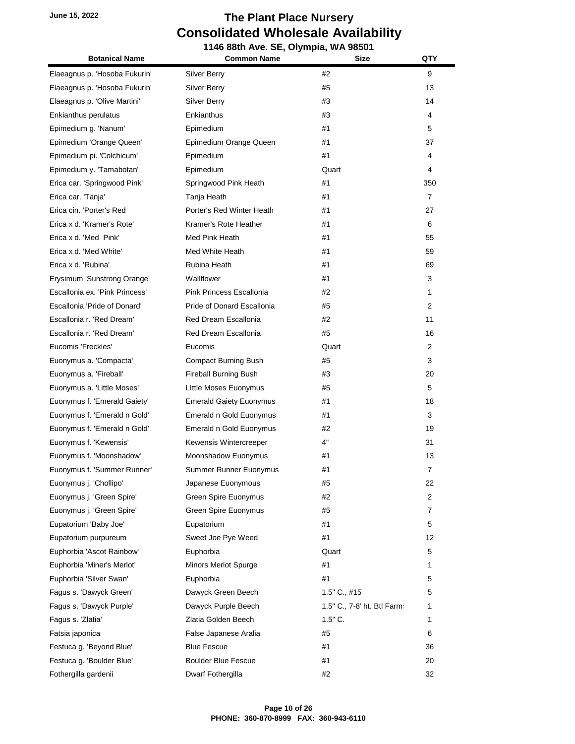**1146 88th Ave. SE, Olympia, WA 98501 Botanical Name Common Name Size QTY** Elaeagnus p. 'Hosoba Fukurin' Silver Berry #2 9 Elaeagnus p. 'Hosoba Fukurin' and Silver Berry 13 13 13 Elaeagnus p. 'Olive Martini' Silver Berry 14 14 14 15 16 16 17 18 18 19 18 19 18 19 18 19 19 19 19 19 19 19 19 Enkianthus perulatus **Enkianthus** Enkianthus **2006 2006 2006 43 4 4 4** Epimedium g. 'Nanum' Epimedium #1 5 Epimedium 'Orange Queen' Epimedium Orange Queen #1 37 Epimedium pi. 'Colchicum' Epimedium #1 4 Epimedium y. 'Tamabotan' Epimedium Quart 4 Erica car. 'Springwood Pink' Springwood Pink Heath #1 350 Erica car. 'Tanja' Tanja Heath #1 7 Erica cin. 'Porter's Red Porter's Red Winter Heath #1 27 Erica x d. 'Kramer's Rote' Kramer's Rote Heather #1 6 Erica x d. 'Med Pink' **Med Pink Heath** #1 55 Erica x d. 'Med White' Med White Heath #1 59 Erica x d. 'Rubina' **Rubina Heath 1996 2006 2007 2008 2008 2008 2008 2008 2008 2009 2008 2009 2009 2009 2009 2009 2009 2009 2009 2009 2009 2009 2009 2009 2009 2009 2009** Erysimum 'Sunstrong Orange' Wallflower #1 3 Escallonia ex. 'Pink Princess' Pink Princess Escallonia **1996 2020** 1 1 Escallonia 'Pride of Donard' Pride of Donard Escallonia #5 2 Escallonia r. 'Red Dream' Red Dream Escallonia #2 11 Escallonia r. 'Red Dream' Red Dream Escallonia #5 16 Eucomis 'Freckles' Eucomis Quart 2 Euonymus a. 'Compacta' Compact Burning Bush #5 45 3 3 Euonymus a. 'Fireball' Fireball Burning Bush #3 20 Euonymus a. 'Little Moses' and Little Moses Euonymus and the two the states of the states of the S Euonymus f. 'Emerald Gaiety' 
Emerald Gaiety Euonymus

Henrymus 18 Euonymus f. 'Emerald n Gold' Emerald n Gold Euonymus #1 3 Euonymus f. 'Emerald n Gold' Emerald n Gold Euonymus #2 19 Euonymus f. 'Kewensis' Kewensis Wintercreeper 4" 31 Euonymus f. 'Moonshadow' Moonshadow Euonymus #1 13 Euonymus f. 'Summer Runner' Summer Runner Euonymus #1 7 Euonymus j. 'Chollipo' Japanese Euonymous #5 22 Euonymus j. 'Green Spire' Green Spire Euonymus #2 2 Euonymus j. 'Green Spire' Green Spire Euonymus #5 7 Eupatorium 'Baby Joe' Eupatorium #1 5 Eupatorium purpureum **Eupatorium** Sweet Joe Pye Weed **41 12** 12 Euphorbia 'Ascot Rainbow' Euphorbia Quart 5 Euphorbia 'Miner's Merlot' Minors Merlot Spurge #1 1 Euphorbia 'Silver Swan' Euphorbia #1 5 Fagus s. 'Dawyck Green' Dawyck Green Beech 1.5" C., #15 5 Fagus s. 'Dawyck Purple' Dawyck Purple Beech 1.5" C., 7-8' ht. Btl Farms 1 Fagus s. 'Zlatia' **Example 2. In the Colden Beech** 1.5 and 1.5" C. 1.5" C. 1.5" C. 1.5" C. 1.5" C. 1.5" C. 1.5" C. 1.5" C. 1.5" C. 1.5" C. 1.5" C. 1.5" C. 1.5" C. 1.5" C. 1.5" C. 1.5" C. 1.5" C. 1.5" C. 1.5" C. 1.5" C. 1.5 Fatsia japonica False Japanese Aralia #5 6 Festuca g. 'Beyond Blue' Blue Fescue #1 #1 36 Festuca g. 'Boulder Blue' Boulder Blue Fescue #1 20 Fothergilla gardenii Dwarf Fothergilla #2 32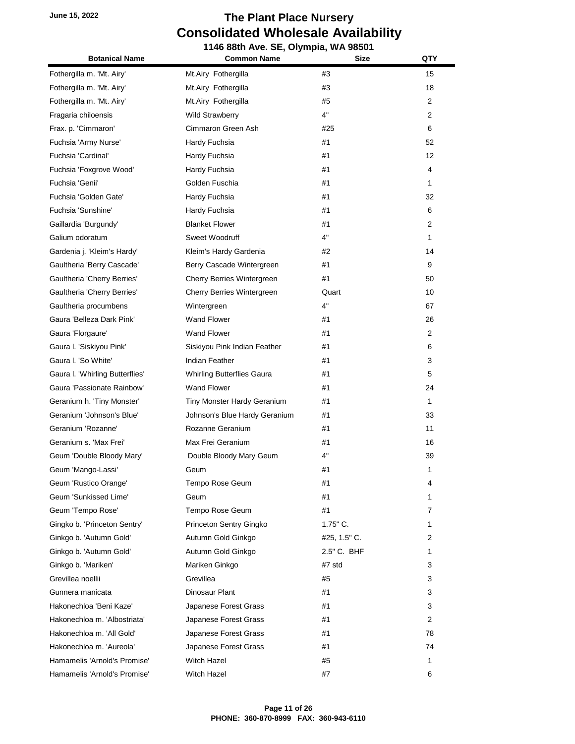| <b>Botanical Name</b>           | 1146 88th Ave. SE, Olympia, WA 98501<br><b>Common Name</b> | <b>Size</b>  | QTY |
|---------------------------------|------------------------------------------------------------|--------------|-----|
|                                 |                                                            |              |     |
| Fothergilla m. 'Mt. Airy'       | Mt.Airy Fothergilla                                        | #3           | 15  |
| Fothergilla m. 'Mt. Airy'       | Mt.Airy Fothergilla                                        | #3           | 18  |
| Fothergilla m. 'Mt. Airy'       | Mt.Airy Fothergilla                                        | #5           | 2   |
| Fragaria chiloensis             | <b>Wild Strawberry</b>                                     | 4"           | 2   |
| Frax. p. 'Cimmaron'             | Cimmaron Green Ash                                         | #25          | 6   |
| Fuchsia 'Army Nurse'            | Hardy Fuchsia                                              | #1           | 52  |
| Fuchsia 'Cardinal'              | Hardy Fuchsia                                              | #1           | 12  |
| Fuchsia 'Foxgrove Wood'         | Hardy Fuchsia                                              | #1           | 4   |
| Fuchsia 'Genii'                 | Golden Fuschia                                             | #1           | 1   |
| Fuchsia 'Golden Gate'           | Hardy Fuchsia                                              | #1           | 32  |
| Fuchsia 'Sunshine'              | Hardy Fuchsia                                              | #1           | 6   |
| Gaillardia 'Burgundy'           | <b>Blanket Flower</b>                                      | #1           | 2   |
| Galium odoratum                 | Sweet Woodruff                                             | 4"           | 1   |
| Gardenia j. 'Kleim's Hardy'     | Kleim's Hardy Gardenia                                     | #2           | 14  |
| Gaultheria 'Berry Cascade'      | Berry Cascade Wintergreen                                  | #1           | 9   |
| Gaultheria 'Cherry Berries'     | Cherry Berries Wintergreen                                 | #1           | 50  |
| Gaultheria 'Cherry Berries'     | Cherry Berries Wintergreen                                 | Quart        | 10  |
| Gaultheria procumbens           | Wintergreen                                                | 4"           | 67  |
| Gaura 'Belleza Dark Pink'       | <b>Wand Flower</b>                                         | #1           | 26  |
| Gaura 'Florgaure'               | <b>Wand Flower</b>                                         | #1           | 2   |
| Gaura I. 'Siskiyou Pink'        | Siskiyou Pink Indian Feather                               | #1           | 6   |
| Gaura I. 'So White'             | Indian Feather                                             | #1           | 3   |
| Gaura I. 'Whirling Butterflies' | <b>Whirling Butterflies Gaura</b>                          | #1           | 5   |
| Gaura 'Passionate Rainbow'      | <b>Wand Flower</b>                                         | #1           | 24  |
| Geranium h. 'Tiny Monster'      | Tiny Monster Hardy Geranium                                | #1           | 1   |
| Geranium 'Johnson's Blue'       | Johnson's Blue Hardy Geranium                              | #1           | 33  |
| Geranium 'Rozanne'              | Rozanne Geranium                                           | #1           | 11  |
| Geranium s. 'Max Frei'          | Max Frei Geranium                                          | #1           | 16  |
| Geum 'Double Bloody Mary'       | Double Bloody Mary Geum                                    | 4"           | 39  |
| Geum 'Mango-Lassi'              | Geum                                                       | #1           | 1   |
| Geum 'Rustico Orange'           | Tempo Rose Geum                                            | #1           | 4   |
| Geum 'Sunkissed Lime'           | Geum                                                       | #1           | 1.  |
| Geum 'Tempo Rose'               | Tempo Rose Geum                                            | #1           | 7   |
| Gingko b. 'Princeton Sentry'    | Princeton Sentry Gingko                                    | $1.75$ " C.  | 1   |
| Ginkgo b. 'Autumn Gold'         | Autumn Gold Ginkgo                                         | #25, 1.5" C. | 2   |
| Ginkgo b. 'Autumn Gold'         | Autumn Gold Ginkgo                                         | 2.5" C. BHF  | 1   |
| Ginkgo b. 'Mariken'             | Mariken Ginkgo                                             | #7 std       | 3   |
| Grevillea noellii               | Grevillea                                                  | #5           | 3   |
| Gunnera manicata                | Dinosaur Plant                                             | #1           | 3   |
| Hakonechloa 'Beni Kaze'         | Japanese Forest Grass                                      | #1           | 3   |
| Hakonechloa m. 'Albostriata'    | Japanese Forest Grass                                      | #1           | 2   |
| Hakonechloa m. 'All Gold'       | Japanese Forest Grass                                      | #1           | 78  |
| Hakonechloa m. 'Aureola'        | Japanese Forest Grass                                      | #1           | 74  |
| Hamamelis 'Arnold's Promise'    | <b>Witch Hazel</b>                                         | #5           | 1   |
| Hamamelis 'Arnold's Promise'    | Witch Hazel                                                | #7           | 6   |
|                                 |                                                            |              |     |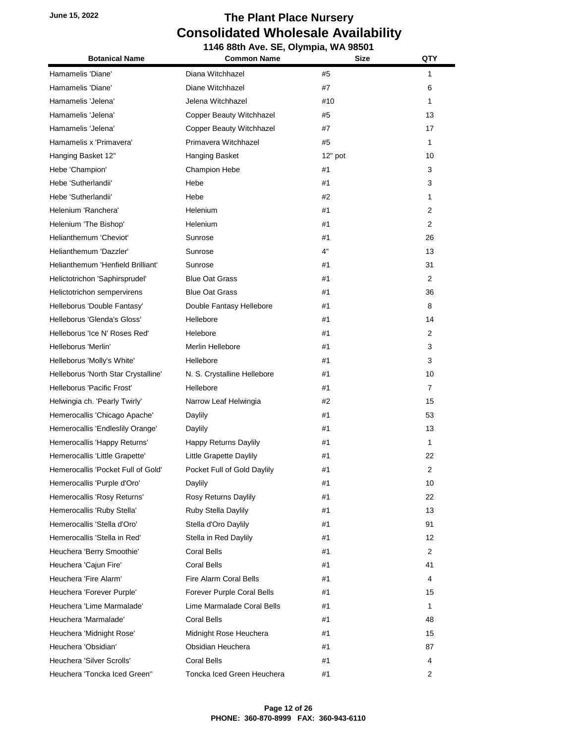| <b>Botanical Name</b>               | 1146 88th Ave. SE, Olympia, WA 98501<br><b>Common Name</b><br><b>Size</b> |         | QTY            |  |
|-------------------------------------|---------------------------------------------------------------------------|---------|----------------|--|
|                                     |                                                                           |         |                |  |
| Hamamelis 'Diane'                   | Diana Witchhazel                                                          | #5      | 1              |  |
| Hamamelis 'Diane'                   | Diane Witchhazel                                                          | #7      | 6              |  |
| Hamamelis 'Jelena'                  | Jelena Witchhazel                                                         | #10     | 1              |  |
| Hamamelis 'Jelena'                  | Copper Beauty Witchhazel                                                  | #5      | 13             |  |
| Hamamelis 'Jelena'                  | Copper Beauty Witchhazel                                                  | #7      | 17             |  |
| Hamamelis x 'Primavera'             | Primavera Witchhazel                                                      | #5      | 1              |  |
| Hanging Basket 12"                  | Hanging Basket                                                            | 12" pot | 10             |  |
| Hebe 'Champion'                     | <b>Champion Hebe</b>                                                      | #1      | 3              |  |
| Hebe 'Sutherlandii'                 | Hebe                                                                      | #1      | 3              |  |
| Hebe 'Sutherlandii'                 | Hebe                                                                      | #2      | 1              |  |
| Helenium 'Ranchera'                 | Helenium                                                                  | #1      | $\overline{2}$ |  |
| Helenium 'The Bishop'               | Helenium                                                                  | #1      | $\overline{2}$ |  |
| Helianthemum 'Cheviot'              | Sunrose                                                                   | #1      | 26             |  |
| Helianthemum 'Dazzler'              | Sunrose                                                                   | 4"      | 13             |  |
| Helianthemum 'Henfield Brilliant'   | Sunrose                                                                   | #1      | 31             |  |
| Helictotrichon 'Saphirsprudel'      | <b>Blue Oat Grass</b>                                                     | #1      | $\overline{2}$ |  |
| Helictotrichon sempervirens         | <b>Blue Oat Grass</b>                                                     | #1      | 36             |  |
| Helleborus 'Double Fantasy'         | Double Fantasy Hellebore                                                  | #1      | 8              |  |
| Helleborus 'Glenda's Gloss'         | Hellebore                                                                 | #1      | 14             |  |
| Helleborus 'Ice N' Roses Red'       | Helebore                                                                  | #1      | $\overline{2}$ |  |
| Helleborus 'Merlin'                 | Merlin Hellebore                                                          | #1      | 3              |  |
| Helleborus 'Molly's White'          | Hellebore                                                                 | #1      | 3              |  |
| Helleborus 'North Star Crystalline' | N. S. Crystalline Hellebore                                               | #1      | 10             |  |
| Helleborus 'Pacific Frost'          | Hellebore                                                                 | #1      | $\overline{7}$ |  |
| Helwingia ch. 'Pearly Twirly'       | Narrow Leaf Helwingia                                                     | #2      | 15             |  |
| Hemerocallis 'Chicago Apache'       | Daylily                                                                   | #1      | 53             |  |
| Hemerocallis 'Endleslily Orange'    | Daylily                                                                   | #1      | 13             |  |
| Hemerocallis 'Happy Returns'        | Happy Returns Daylily                                                     | #1      | 1              |  |
| Hemerocallis 'Little Grapette'      | Little Grapette Daylily                                                   | #1      | 22             |  |
| Hemerocallis 'Pocket Full of Gold'  | Pocket Full of Gold Daylily                                               | #1      | 2              |  |
| Hemerocallis 'Purple d'Oro'         | Daylily                                                                   | #1      | 10             |  |
| Hemerocallis 'Rosy Returns'         | Rosy Returns Daylily                                                      | #1      | 22             |  |
| Hemerocallis 'Ruby Stella'          | Ruby Stella Daylily                                                       | #1      | 13             |  |
| Hemerocallis 'Stella d'Oro'         | Stella d'Oro Daylily                                                      | #1      | 91             |  |
| Hemerocallis 'Stella in Red'        | Stella in Red Daylily                                                     | #1      | 12             |  |
| Heuchera 'Berry Smoothie'           | Coral Bells                                                               | #1      | $\overline{2}$ |  |
| Heuchera 'Cajun Fire'               | <b>Coral Bells</b>                                                        | #1      | 41             |  |
| Heuchera 'Fire Alarm'               | Fire Alarm Coral Bells                                                    | #1      | 4              |  |
| Heuchera 'Forever Purple'           | Forever Purple Coral Bells                                                | #1      | 15             |  |
| Heuchera 'Lime Marmalade'           | Lime Marmalade Coral Bells                                                | #1      | 1              |  |
| Heuchera 'Marmalade'                | <b>Coral Bells</b>                                                        | #1      | 48             |  |
| Heuchera 'Midnight Rose'            | Midnight Rose Heuchera                                                    | #1      | 15             |  |
| Heuchera 'Obsidian'                 | Obsidian Heuchera                                                         | #1      | 87             |  |
| Heuchera 'Silver Scrolls'           | Coral Bells                                                               | #1      | 4              |  |
| Heuchera 'Toncka Iced Green"        | Toncka Iced Green Heuchera                                                | #1      | 2              |  |
|                                     |                                                                           |         |                |  |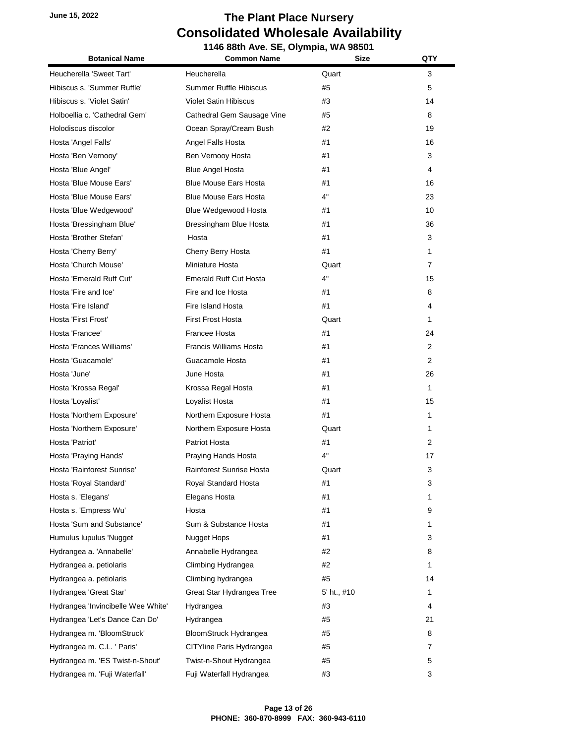| <b>Botanical Name</b>              | <b>Common Name</b>            | <b>Size</b> | QTY |
|------------------------------------|-------------------------------|-------------|-----|
| Heucherella 'Sweet Tart'           | Heucherella                   | Quart       | 3   |
| Hibiscus s. 'Summer Ruffle'        | <b>Summer Ruffle Hibiscus</b> | #5          | 5   |
| Hibiscus s. 'Violet Satin'         | <b>Violet Satin Hibiscus</b>  | #3          | 14  |
| Holboellia c. 'Cathedral Gem'      | Cathedral Gem Sausage Vine    | #5          | 8   |
| Holodiscus discolor                | Ocean Spray/Cream Bush        | #2          | 19  |
| Hosta 'Angel Falls'                | Angel Falls Hosta             | #1          | 16  |
| Hosta 'Ben Vernooy'                | Ben Vernooy Hosta             | #1          | 3   |
| Hosta 'Blue Angel'                 | <b>Blue Angel Hosta</b>       | #1          | 4   |
| Hosta 'Blue Mouse Ears'            | <b>Blue Mouse Ears Hosta</b>  | #1          | 16  |
| Hosta 'Blue Mouse Ears'            | <b>Blue Mouse Ears Hosta</b>  | 4"          | 23  |
| Hosta 'Blue Wedgewood'             | Blue Wedgewood Hosta          | #1          | 10  |
| Hosta 'Bressingham Blue'           | Bressingham Blue Hosta        | #1          | 36  |
| Hosta 'Brother Stefan'             | Hosta                         | #1          | 3   |
| Hosta 'Cherry Berry'               | Cherry Berry Hosta            | #1          | 1   |
| Hosta 'Church Mouse'               | Miniature Hosta               | Quart       | 7   |
| Hosta 'Emerald Ruff Cut'           | <b>Emerald Ruff Cut Hosta</b> | 4"          | 15  |
| Hosta 'Fire and Ice'               | Fire and Ice Hosta            | #1          | 8   |
| Hosta 'Fire Island'                | Fire Island Hosta             | #1          | 4   |
| Hosta 'First Frost'                | <b>First Frost Hosta</b>      | Quart       | 1   |
| Hosta 'Francee'                    | Francee Hosta                 | #1          | 24  |
| Hosta 'Frances Williams'           | <b>Francis Williams Hosta</b> | #1          | 2   |
| Hosta 'Guacamole'                  | Guacamole Hosta               | #1          | 2   |
| Hosta 'June'                       | June Hosta                    | #1          | 26  |
| Hosta 'Krossa Regal'               | Krossa Regal Hosta            | #1          | 1   |
| Hosta 'Loyalist'                   | Loyalist Hosta                | #1          | 15  |
| Hosta 'Northern Exposure'          | Northern Exposure Hosta       | #1          | 1   |
| Hosta 'Northern Exposure'          | Northern Exposure Hosta       | Quart       | 1   |
| Hosta 'Patriot'                    | Patriot Hosta                 | #1          | 2   |
| Hosta 'Praying Hands'              | Praying Hands Hosta           | 4"          | 17  |
| Hosta 'Rainforest Sunrise'         | Rainforest Sunrise Hosta      | Quart       | 3   |
| Hosta 'Royal Standard'             | Royal Standard Hosta          | #1          | 3   |
| Hosta s. 'Elegans'                 | Elegans Hosta                 | #1          | 1   |
| Hosta s. 'Empress Wu'              | Hosta                         | #1          | 9   |
| Hosta 'Sum and Substance'          | Sum & Substance Hosta         | #1          | 1   |
| Humulus lupulus 'Nugget            | Nugget Hops                   | #1          | 3   |
| Hydrangea a. 'Annabelle'           | Annabelle Hydrangea           | #2          | 8   |
| Hydrangea a. petiolaris            | Climbing Hydrangea            | #2          | 1   |
| Hydrangea a. petiolaris            | Climbing hydrangea            | #5          | 14  |
| Hydrangea 'Great Star'             | Great Star Hydrangea Tree     | 5' ht., #10 | 1   |
| Hydrangea 'Invincibelle Wee White' | Hydrangea                     | #3          | 4   |
| Hydrangea 'Let's Dance Can Do'     | Hydrangea                     | #5          | 21  |
| Hydrangea m. 'BloomStruck'         | BloomStruck Hydrangea         | #5          | 8   |
| Hydrangea m. C.L. ' Paris'         | CITYline Paris Hydrangea      | #5          | 7   |
| Hydrangea m. 'ES Twist-n-Shout'    | Twist-n-Shout Hydrangea       | #5          | 5   |
| Hydrangea m. 'Fuji Waterfall'      | Fuji Waterfall Hydrangea      | #3          | 3   |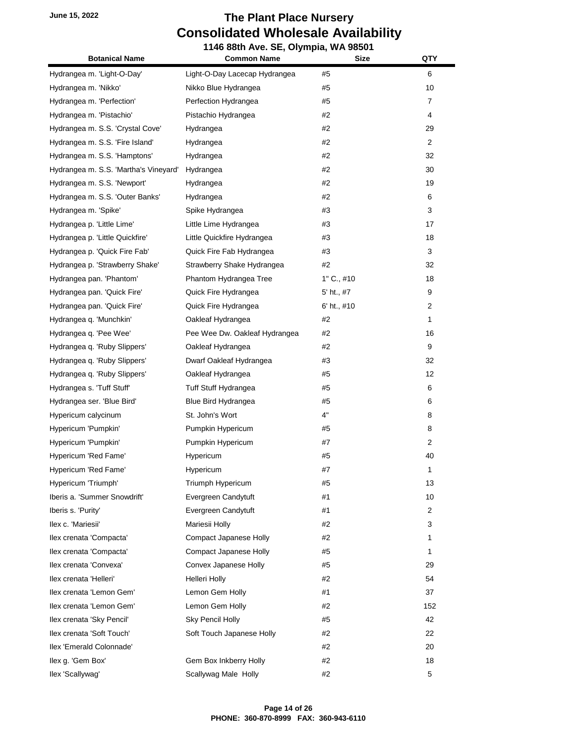| <b>Botanical Name</b>                 | <b>Common Name</b>            | <b>Size</b>  | QTY            |
|---------------------------------------|-------------------------------|--------------|----------------|
| Hydrangea m. 'Light-O-Day'            | Light-O-Day Lacecap Hydrangea | #5           | 6              |
| Hydrangea m. 'Nikko'                  | Nikko Blue Hydrangea          | #5           | 10             |
| Hydrangea m. 'Perfection'             | Perfection Hydrangea          | #5           | 7              |
| Hydrangea m. 'Pistachio'              | Pistachio Hydrangea           | #2           | 4              |
| Hydrangea m. S.S. 'Crystal Cove'      | Hydrangea                     | #2           | 29             |
| Hydrangea m. S.S. 'Fire Island'       | Hydrangea                     | #2           | $\overline{2}$ |
| Hydrangea m. S.S. 'Hamptons'          | Hydrangea                     | #2           | 32             |
| Hydrangea m. S.S. 'Martha's Vineyard' | Hydrangea                     | #2           | 30             |
| Hydrangea m. S.S. 'Newport'           | Hydrangea                     | #2           | 19             |
| Hydrangea m. S.S. 'Outer Banks'       | Hydrangea                     | #2           | 6              |
| Hydrangea m. 'Spike'                  | Spike Hydrangea               | #3           | 3              |
| Hydrangea p. 'Little Lime'            | Little Lime Hydrangea         | #3           | 17             |
| Hydrangea p. 'Little Quickfire'       | Little Quickfire Hydrangea    | #3           | 18             |
| Hydrangea p. 'Quick Fire Fab'         | Quick Fire Fab Hydrangea      | #3           | 3              |
| Hydrangea p. 'Strawberry Shake'       | Strawberry Shake Hydrangea    | #2           | 32             |
| Hydrangea pan. 'Phantom'              | Phantom Hydrangea Tree        | $1"$ C., #10 | 18             |
| Hydrangea pan. 'Quick Fire'           | Quick Fire Hydrangea          | 5' ht., #7   | 9              |
| Hydrangea pan. 'Quick Fire'           | Quick Fire Hydrangea          | 6' ht., #10  | 2              |
| Hydrangea q. 'Munchkin'               | Oakleaf Hydrangea             | #2           | 1              |
| Hydrangea q. 'Pee Wee'                | Pee Wee Dw. Oakleaf Hydrangea | #2           | 16             |
| Hydrangea q. 'Ruby Slippers'          | Oakleaf Hydrangea             | #2           | 9              |
| Hydrangea q. 'Ruby Slippers'          | Dwarf Oakleaf Hydrangea       | #3           | 32             |
| Hydrangea q. 'Ruby Slippers'          | Oakleaf Hydrangea             | #5           | 12             |
| Hydrangea s. 'Tuff Stuff'             | Tuff Stuff Hydrangea          | #5           | 6              |
| Hydrangea ser. 'Blue Bird'            | Blue Bird Hydrangea           | #5           | 6              |
| Hypericum calycinum                   | St. John's Wort               | 4"           | 8              |
| Hypericum 'Pumpkin'                   | Pumpkin Hypericum             | #5           | 8              |
| Hypericum 'Pumpkin'                   | Pumpkin Hypericum             | #7           | 2              |
| Hypericum 'Red Fame'                  | <b>Hypericum</b>              | #5           | 40             |
| Hypericum 'Red Fame'                  | Hypericum                     | #7           | 1              |
| Hypericum 'Triumph'                   | Triumph Hypericum             | #5           | 13             |
| Iberis a. 'Summer Snowdrift'          | Evergreen Candytuft           | #1           | 10             |
| Iberis s. 'Purity'                    | Evergreen Candytuft           | #1           | 2              |
| Ilex c. 'Mariesii'                    | Mariesii Holly                | #2           | 3              |
| Ilex crenata 'Compacta'               | Compact Japanese Holly        | #2           | 1              |
| Ilex crenata 'Compacta'               | Compact Japanese Holly        | #5           | 1              |
| Ilex crenata 'Convexa'                | Convex Japanese Holly         | #5           | 29             |
| llex crenata 'Helleri'                | Helleri Holly                 | #2           | 54             |
| Ilex crenata 'Lemon Gem'              | Lemon Gem Holly               | #1           | 37             |
| Ilex crenata 'Lemon Gem'              | Lemon Gem Holly               | #2           | 152            |
| Ilex crenata 'Sky Pencil'             | Sky Pencil Holly              | #5           | 42             |
| Ilex crenata 'Soft Touch'             | Soft Touch Japanese Holly     | #2           | 22             |
| Ilex 'Emerald Colonnade'              |                               | #2           | 20             |
| Ilex g. 'Gem Box'                     | Gem Box Inkberry Holly        | #2           | 18             |
| llex 'Scallywag'                      | Scallywag Male Holly          | #2           | 5              |
|                                       |                               |              |                |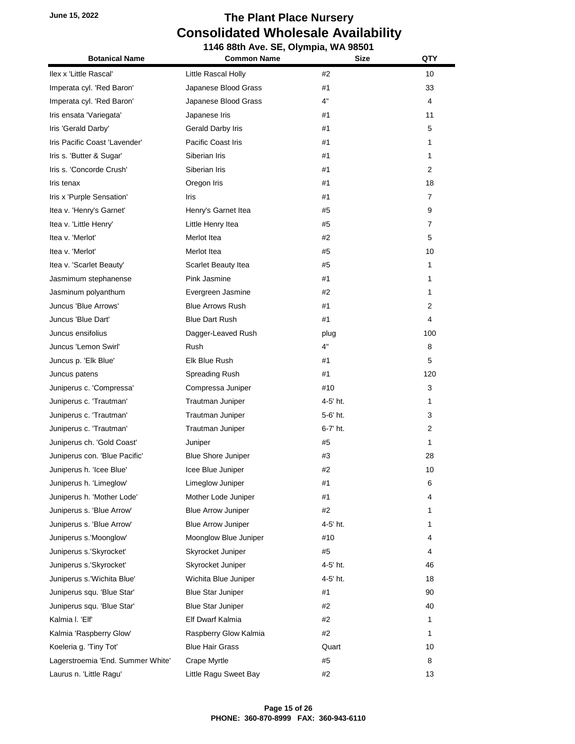| <b>Botanical Name</b>             | <b>Common Name</b>        | <b>Size</b> | QTY |
|-----------------------------------|---------------------------|-------------|-----|
| Ilex x 'Little Rascal'            | Little Rascal Holly       | #2          | 10  |
| Imperata cyl. 'Red Baron'         | Japanese Blood Grass      | #1          | 33  |
| Imperata cyl. 'Red Baron'         | Japanese Blood Grass      | 4"          | 4   |
| Iris ensata 'Variegata'           | Japanese Iris             | #1          | 11  |
| Iris 'Gerald Darby'               | Gerald Darby Iris         | #1          | 5   |
| Iris Pacific Coast 'Lavender'     | <b>Pacific Coast Iris</b> | #1          | 1   |
| Iris s. 'Butter & Sugar'          | Siberian Iris             | #1          | 1   |
| Iris s. 'Concorde Crush'          | Siberian Iris             | #1          | 2   |
| Iris tenax                        | Oregon Iris               | #1          | 18  |
| Iris x 'Purple Sensation'         | Iris                      | #1          | 7   |
| Itea v. 'Henry's Garnet'          | Henry's Garnet Itea       | #5          | 9   |
| Itea v. 'Little Henry'            | Little Henry Itea         | #5          | 7   |
| Itea v. 'Merlot'                  | Merlot Itea               | #2          | 5   |
| Itea v. 'Merlot'                  | Merlot Itea               | #5          | 10  |
| Itea v. 'Scarlet Beauty'          | Scarlet Beauty Itea       | #5          | 1   |
| Jasmimum stephanense              | Pink Jasmine              | #1          | 1   |
| Jasminum polyanthum               | Evergreen Jasmine         | #2          | 1   |
| Juncus 'Blue Arrows'              | <b>Blue Arrows Rush</b>   | #1          | 2   |
| Juncus 'Blue Dart'                | <b>Blue Dart Rush</b>     | #1          | 4   |
| Juncus ensifolius                 | Dagger-Leaved Rush        | plug        | 100 |
| Juncus 'Lemon Swirl'              | <b>Rush</b>               | 4"          | 8   |
| Juncus p. 'Elk Blue'              | Elk Blue Rush             | #1          | 5   |
| Juncus patens                     | Spreading Rush            | #1          | 120 |
| Juniperus c. 'Compressa'          | Compressa Juniper         | #10         | 3   |
| Juniperus c. 'Trautman'           | Trautman Juniper          | 4-5' ht.    | 1   |
| Juniperus c. 'Trautman'           | Trautman Juniper          | 5-6' ht.    | 3   |
| Juniperus c. 'Trautman'           | Trautman Juniper          | 6-7' ht.    | 2   |
| Juniperus ch. 'Gold Coast'        | Juniper                   | #5          | 1   |
| Juniperus con. 'Blue Pacific'     | <b>Blue Shore Juniper</b> | #3          | 28  |
| Juniperus h. 'Icee Blue'          | Icee Blue Juniper         | #2          | 10  |
| Juniperus h. 'Limeglow'           | Limeglow Juniper          | #1          | 6   |
| Juniperus h. 'Mother Lode'        | Mother Lode Juniper       | #1          | 4   |
| Juniperus s. 'Blue Arrow'         | <b>Blue Arrow Juniper</b> | #2          | 1   |
| Juniperus s. 'Blue Arrow'         | <b>Blue Arrow Juniper</b> | 4-5' ht.    | 1   |
| Juniperus s.'Moonglow'            | Moonglow Blue Juniper     | #10         | 4   |
| Juniperus s.'Skyrocket'           | Skyrocket Juniper         | #5          | 4   |
| Juniperus s.'Skyrocket'           | Skyrocket Juniper         | 4-5' ht.    | 46  |
| Juniperus s.'Wichita Blue'        | Wichita Blue Juniper      | 4-5' ht.    | 18  |
| Juniperus squ. 'Blue Star'        | <b>Blue Star Juniper</b>  | #1          | 90  |
| Juniperus squ. 'Blue Star'        | <b>Blue Star Juniper</b>  | #2          | 40  |
| Kalmia I. 'Elf'                   | Elf Dwarf Kalmia          | #2          | 1   |
| Kalmia 'Raspberry Glow'           | Raspberry Glow Kalmia     | #2          | 1   |
| Koeleria g. 'Tiny Tot'            | <b>Blue Hair Grass</b>    | Quart       | 10  |
| Lagerstroemia 'End. Summer White' | Crape Myrtle              | #5          | 8   |
| Laurus n. 'Little Ragu'           | Little Ragu Sweet Bay     | #2          | 13  |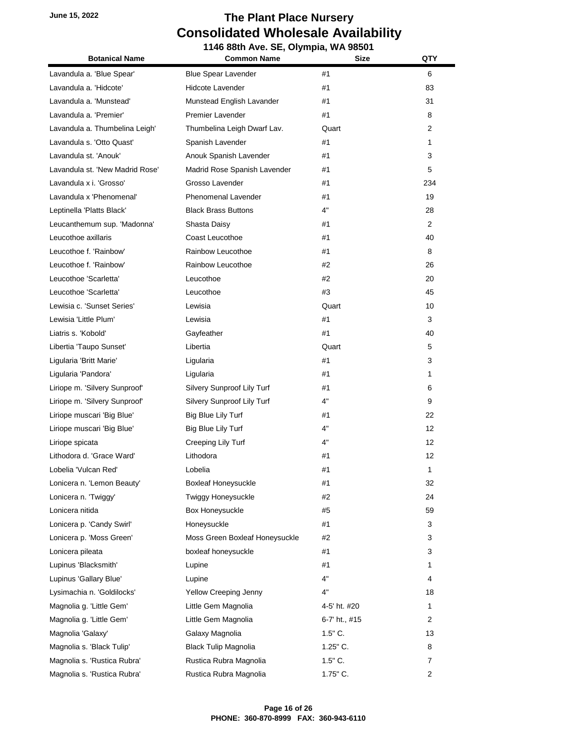| <b>Botanical Name</b>           | <b>Common Name</b>             | <b>Size</b>   | QTY            |
|---------------------------------|--------------------------------|---------------|----------------|
| Lavandula a. 'Blue Spear'       | <b>Blue Spear Lavender</b>     | #1            | 6              |
| Lavandula a. 'Hidcote'          | Hidcote Lavender               | #1            | 83             |
| Lavandula a. 'Munstead'         | Munstead English Lavander      | #1            | 31             |
| Lavandula a. 'Premier'          | <b>Premier Lavender</b>        | #1            | 8              |
| Lavandula a. Thumbelina Leigh'  | Thumbelina Leigh Dwarf Lav.    | Quart         | 2              |
| Lavandula s. 'Otto Quast'       | Spanish Lavender               | #1            | 1              |
| Lavandula st. 'Anouk'           | Anouk Spanish Lavender         | #1            | 3              |
| Lavandula st. 'New Madrid Rose' | Madrid Rose Spanish Lavender   | #1            | 5              |
| Lavandula x i. 'Grosso'         | Grosso Lavender                | #1            | 234            |
| Lavandula x 'Phenomenal'        | <b>Phenomenal Lavender</b>     | #1            | 19             |
| Leptinella 'Platts Black'       | <b>Black Brass Buttons</b>     | 4"            | 28             |
| Leucanthemum sup. 'Madonna'     | Shasta Daisy                   | #1            | $\overline{2}$ |
| Leucothoe axillaris             | Coast Leucothoe                | #1            | 40             |
| Leucothoe f. 'Rainbow'          | Rainbow Leucothoe              | #1            | 8              |
| Leucothoe f. 'Rainbow'          | Rainbow Leucothoe              | #2            | 26             |
| Leucothoe 'Scarletta'           | Leucothoe                      | #2            | 20             |
| Leucothoe 'Scarletta'           | Leucothoe                      | #3            | 45             |
| Lewisia c. 'Sunset Series'      | Lewisia                        | Quart         | 10             |
| Lewisia 'Little Plum'           | Lewisia                        | #1            | 3              |
| Liatris s. 'Kobold'             | Gayfeather                     | #1            | 40             |
| Libertia 'Taupo Sunset'         | Libertia                       | Quart         | 5              |
| Ligularia 'Britt Marie'         | Ligularia                      | #1            | 3              |
| Ligularia 'Pandora'             | Ligularia                      | #1            | 1              |
| Liriope m. 'Silvery Sunproof'   | Silvery Sunproof Lily Turf     | #1            | 6              |
| Liriope m. 'Silvery Sunproof'   | Silvery Sunproof Lily Turf     | 4"            | 9              |
| Liriope muscari 'Big Blue'      | Big Blue Lily Turf             | #1            | 22             |
| Liriope muscari 'Big Blue'      | Big Blue Lily Turf             | 4"            | 12             |
| Liriope spicata                 | Creeping Lily Turf             | 4"            | 12             |
| Lithodora d. 'Grace Ward'       | Lithodora                      | #1            | 12             |
| Lobelia 'Vulcan Red'            | Lobelia                        | #1            | 1              |
| Lonicera n. 'Lemon Beauty'      | <b>Boxleaf Honeysuckle</b>     | #1            | 32             |
| Lonicera n. 'Twiggy'            | Twiggy Honeysuckle             | #2            | 24             |
| Lonicera nitida                 | Box Honeysuckle                | #5            | 59             |
| Lonicera p. 'Candy Swirl'       | Honeysuckle                    | #1            | 3              |
| Lonicera p. 'Moss Green'        | Moss Green Boxleaf Honeysuckle | #2            | 3              |
| Lonicera pileata                | boxleaf honeysuckle            | #1            | 3              |
| Lupinus 'Blacksmith'            | Lupine                         | #1            | 1.             |
| Lupinus 'Gallary Blue'          | Lupine                         | 4"            | 4              |
| Lysimachia n. 'Goldilocks'      | Yellow Creeping Jenny          | 4"            | 18             |
| Magnolia g. 'Little Gem'        | Little Gem Magnolia            | 4-5' ht. #20  | 1              |
| Magnolia g. 'Little Gem'        | Little Gem Magnolia            | 6-7' ht., #15 | 2              |
| Magnolia 'Galaxy'               | Galaxy Magnolia                | $1.5"$ C.     | 13             |
| Magnolia s. 'Black Tulip'       | <b>Black Tulip Magnolia</b>    | $1.25$ " C.   | 8              |
| Magnolia s. 'Rustica Rubra'     | Rustica Rubra Magnolia         | $1.5"$ C.     | 7              |
| Magnolia s. 'Rustica Rubra'     | Rustica Rubra Magnolia         | $1.75$ " C.   | 2              |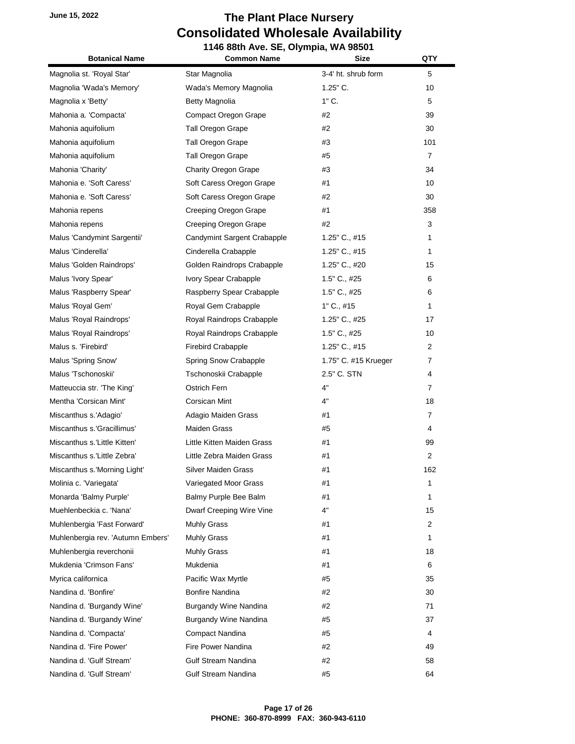| <b>Botanical Name</b>             | <b>Common Name</b>           | <b>Size</b>          | QTY            |
|-----------------------------------|------------------------------|----------------------|----------------|
| Magnolia st. 'Royal Star'         | Star Magnolia                | 3-4' ht. shrub form  | 5              |
| Magnolia 'Wada's Memory'          | Wada's Memory Magnolia       | $1.25$ " C.          | 10             |
| Magnolia x 'Betty'                | Betty Magnolia               | $1"$ C.              | 5              |
| Mahonia a. 'Compacta'             | Compact Oregon Grape         | #2                   | 39             |
| Mahonia aquifolium                | <b>Tall Oregon Grape</b>     | #2                   | 30             |
| Mahonia aquifolium                | Tall Oregon Grape            | #3                   | 101            |
| Mahonia aquifolium                | Tall Oregon Grape            | #5                   | $\overline{7}$ |
| Mahonia 'Charity'                 | <b>Charity Oregon Grape</b>  | #3                   | 34             |
| Mahonia e. 'Soft Caress'          | Soft Caress Oregon Grape     | #1                   | 10             |
| Mahonia e. 'Soft Caress'          | Soft Caress Oregon Grape     | #2                   | 30             |
| Mahonia repens                    | Creeping Oregon Grape        | #1                   | 358            |
| Mahonia repens                    | Creeping Oregon Grape        | #2                   | 3              |
| Malus 'Candymint Sargentii'       | Candymint Sargent Crabapple  | $1.25$ " C., #15     | 1              |
| Malus 'Cinderella'                | Cinderella Crabapple         | 1.25" C., #15        | 1              |
| Malus 'Golden Raindrops'          | Golden Raindrops Crabapple   | 1.25" C., #20        | 15             |
| Malus 'Ivory Spear'               | Ivory Spear Crabapple        | 1.5" C., #25         | 6              |
| Malus 'Raspberry Spear'           | Raspberry Spear Crabapple    | 1.5" C., #25         | 6              |
| Malus 'Royal Gem'                 | Royal Gem Crabapple          | $1"$ C., #15         | 1              |
| Malus 'Royal Raindrops'           | Royal Raindrops Crabapple    | 1.25" C., #25        | 17             |
| Malus 'Royal Raindrops'           | Royal Raindrops Crabapple    | 1.5" C., #25         | 10             |
| Malus s. 'Firebird'               | Firebird Crabapple           | $1.25$ " C., #15     | 2              |
| Malus 'Spring Snow'               | Spring Snow Crabapple        | 1.75" C. #15 Krueger | 7              |
| Malus 'Tschonoskii'               | Tschonoskii Crabapple        | 2.5" C. STN          | 4              |
| Matteuccia str. 'The King'        | Ostrich Fern                 | 4"                   | 7              |
| Mentha 'Corsican Mint'            | Corsican Mint                | 4"                   | 18             |
| Miscanthus s.'Adagio'             | Adagio Maiden Grass          | #1                   | 7              |
| Miscanthus s.'Gracillimus'        | <b>Maiden Grass</b>          | #5                   | 4              |
| Miscanthus s.'Little Kitten'      | Little Kitten Maiden Grass   | #1                   | 99             |
| Miscanthus s.'Little Zebra'       | Little Zebra Maiden Grass    | #1                   | $\overline{2}$ |
| Miscanthus s.'Morning Light'      | Silver Maiden Grass          | #1                   | 162            |
| Molinia c. 'Variegata'            | Variegated Moor Grass        | #1                   | 1              |
| Monarda 'Balmy Purple'            | Balmy Purple Bee Balm        | #1                   | 1              |
| Muehlenbeckia c. 'Nana'           | Dwarf Creeping Wire Vine     | 4"                   | 15             |
| Muhlenbergia 'Fast Forward'       | <b>Muhly Grass</b>           | #1                   | 2              |
| Muhlenbergia rev. 'Autumn Embers' | Muhly Grass                  | #1                   | 1              |
| Muhlenbergia reverchonii          | Muhly Grass                  | #1                   | 18             |
| Mukdenia 'Crimson Fans'           | Mukdenia                     | #1                   | 6              |
| Myrica californica                | Pacific Wax Myrtle           | #5                   | 35             |
| Nandina d. 'Bonfire'              | <b>Bonfire Nandina</b>       | #2                   | 30             |
| Nandina d. 'Burgandy Wine'        | <b>Burgandy Wine Nandina</b> | #2                   | 71             |
| Nandina d. 'Burgandy Wine'        | <b>Burgandy Wine Nandina</b> | #5                   | 37             |
| Nandina d. 'Compacta'             | Compact Nandina              | #5                   | 4              |
| Nandina d. 'Fire Power'           | Fire Power Nandina           | #2                   | 49             |
| Nandina d. 'Gulf Stream'          | <b>Gulf Stream Nandina</b>   | #2                   | 58             |
| Nandina d. 'Gulf Stream'          | Gulf Stream Nandina          | #5                   | 64             |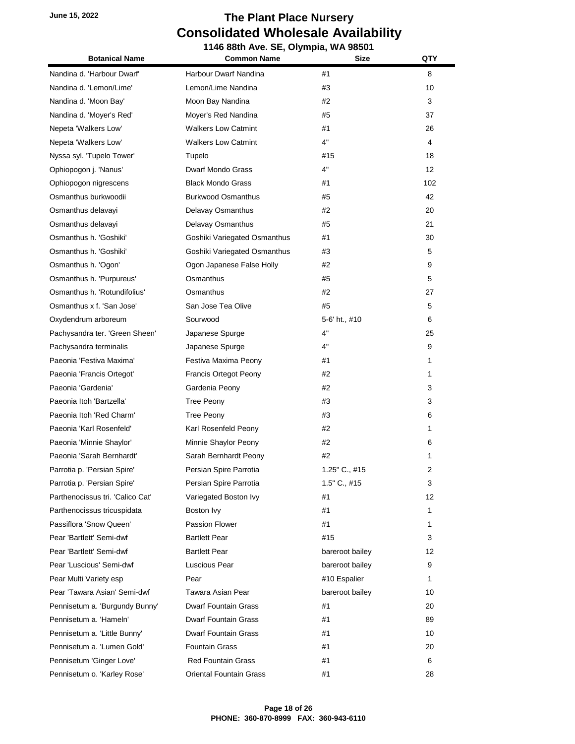**1146 88th Ave. SE, Olympia, WA 98501 Botanical Name Common Name Size QTY** Nandina d. 'Harbour Dwarf' Harbour Dwarf Nandina #1 8 Nandina d. 'Lemon/Lime' 
(Nandina d. 'Lemon/Lime' 
Lemon Common Lemon/Lime Nandina 
(Nandina d)  $\#3$  (10) Nandina d. 'Moon Bay' Moon Bay Nandina #2 3 Nandina d. 'Moyer's Red' Moyer's Red Nandina  $\qquad \qquad \qquad$  #5  $\qquad \qquad$  37 Nepeta 'Walkers Low' The Malkers Low Catmint The Australian Herbert 26 Nepeta 'Walkers Low' **Walkers Low Catmint** 4" Agency 4 Nyssa syl. 'Tupelo Tower' Tupelo **The Community Community 18** 18 18 Ophiopogon j. 'Nanus' Dwarf Mondo Grass 4" 12 Ophiopogon nigrescens Black Mondo Grass #1 102 Osmanthus burkwoodii Burkwood Osmanthus #5 42 Osmanthus delavayi Delavay Osmanthus #2 20 Osmanthus delavayi Delavay Osmanthus #5 21 Osmanthus h. 'Goshiki' Goshiki Variegated Osmanthus #1 30 Osmanthus h. 'Goshiki' Goshiki Variegated Osmanthus #3 5 Osmanthus h. 'Ogon' Cgon Japanese False Holly #2 #2 9 Osmanthus h. 'Purpureus' Osmanthus #5 5 Osmanthus h. 'Rotundifolius' Osmanthus #2 27 Osmanthus x f. 'San Jose' San Jose Tea Olive #5 #5 5 5 Oxydendrum arboreum Sourwood 5-6' ht., #10 6 Pachysandra ter. 'Green Sheen' Japanese Spurge 1997 - 4" Allen 1997 25 Pachysandra terminalis and the Space Spurge and Assemblance of the American Control of the Space of the Space o Paeonia 'Festiva Maxima' Festiva Maxima Peony #1 1 Paeonia 'Francis Ortegot' **Francis Ortegot Peony 1** 1 Paeonia 'Gardenia' Gardenia Peony #2 3 Paeonia Itoh 'Bartzella' Tree Peony #3 3 Paeonia Itoh 'Red Charm' Tree Peony #3 6 Paeonia 'Karl Rosenfeld' **Karl Rosenfeld Peony** #2 **1** 1 Paeonia 'Minnie Shaylor' Minnie Shaylor Peony #2 #2 6 6 Paeonia 'Sarah Bernhardt' Sarah Bernhardt Peony #2 #2 1 1 Parrotia p. 'Persian Spire' Persian Spire Parrotia **Parrotia** 1.25" C., #15 2 Parrotia p. 'Persian Spire' Persian Spire Parrotia 1.5" C., #15 3 Parthenocissus tri. 'Calico Cat' Variegated Boston Ivy #1 12 12 Parthenocissus tricuspidata Boston Ivy #1 1 Passiflora 'Snow Queen' **Passion Flower** #1 **1** 1 Pear 'Bartlett' Semi-dwf **Bartlett Pear Bartlett Pear 1998 1998 1998 1999 1999 1999 1999 1999 1999 1999 1999 1999 1999 1999 1999 1999 1999 1999 1999 1999 1999 1999 1999 199** Pear 'Bartlett' Semi-dwf **Bartlett Pear** bareroot bailey bareroot bailey **12** Pear 'Luscious' Semi-dwf **Luscious Pear** bareroot bailey 9 Pear Multi Variety esp **Pear Pear Pear 1 Pear 1 1 Pear 1 1** Pear 'Tawara Asian' Semi-dwf Tawara Asian Pear **bareroot bailey** bareroot bailey 10 Pennisetum a. 'Burgundy Bunny' Dwarf Fountain Grass #1 #1 4 20 Pennisetum a. 'Hameln' **Dwarf Fountain Grass** #1 #1 89 Pennisetum a. 'Little Bunny' Dwarf Fountain Grass #1  $#1$  10 Pennisetum a. 'Lumen Gold' Fountain Grass **1988 1988 20 20 20** Pennisetum 'Ginger Love' **Red Fountain Grass** #1 7 6 6 Pennisetum o. 'Karley Rose' **Dright Communist Communist Communist Communist Communist Communist Communist Communist Communist Communist Communist Communist Communist Communist Communist Communist Communist Communist Commu**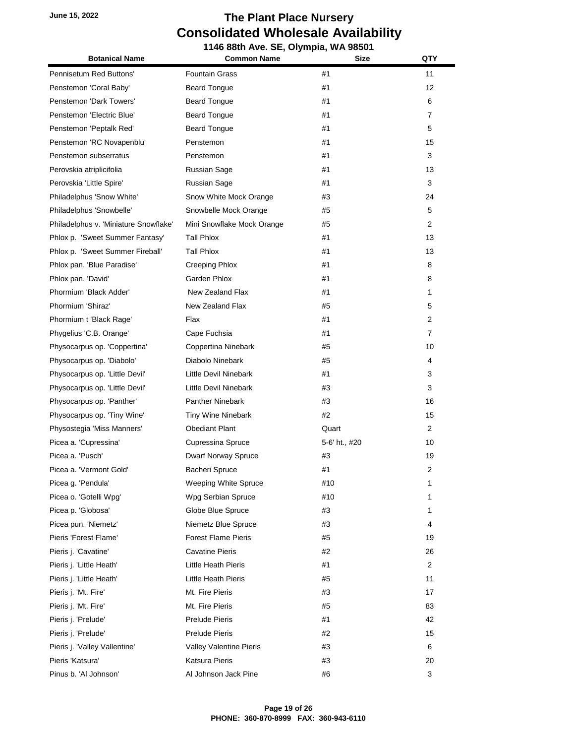| <b>Botanical Name</b>                 | <b>Common Name</b>         | <b>Size</b>   | QTY            |
|---------------------------------------|----------------------------|---------------|----------------|
| Pennisetum Red Buttons'               | <b>Fountain Grass</b>      | #1            | 11             |
| Penstemon 'Coral Baby'                | <b>Beard Tongue</b>        | #1            | 12             |
| Penstemon 'Dark Towers'               | Beard Tongue               | #1            | 6              |
| Penstemon 'Electric Blue'             | <b>Beard Tongue</b>        | #1            | $\overline{7}$ |
| Penstemon 'Peptalk Red'               | <b>Beard Tongue</b>        | #1            | 5              |
| Penstemon 'RC Novapenblu'             | Penstemon                  | #1            | 15             |
| Penstemon subserratus                 | Penstemon                  | #1            | 3              |
| Perovskia atriplicifolia              | Russian Sage               | #1            | 13             |
| Perovskia 'Little Spire'              | <b>Russian Sage</b>        | #1            | 3              |
| Philadelphus 'Snow White'             | Snow White Mock Orange     | #3            | 24             |
| Philadelphus 'Snowbelle'              | Snowbelle Mock Orange      | #5            | 5              |
| Philadelphus v. 'Miniature Snowflake' | Mini Snowflake Mock Orange | #5            | 2              |
| Phlox p. 'Sweet Summer Fantasy'       | Tall Phlox                 | #1            | 13             |
| Phlox p. 'Sweet Summer Fireball'      | Tall Phlox                 | #1            | 13             |
| Phlox pan. 'Blue Paradise'            | <b>Creeping Phlox</b>      | #1            | 8              |
| Phlox pan. 'David'                    | Garden Phlox               | #1            | 8              |
| Phormium 'Black Adder'                | New Zealand Flax           | #1            | 1              |
| Phormium 'Shiraz'                     | New Zealand Flax           | #5            | 5              |
| Phormium t 'Black Rage'               | Flax                       | #1            | 2              |
| Phygelius 'C.B. Orange'               | Cape Fuchsia               | #1            | $\overline{7}$ |
| Physocarpus op. 'Coppertina'          | Coppertina Ninebark        | #5            | 10             |
| Physocarpus op. 'Diabolo'             | Diabolo Ninebark           | #5            | 4              |
| Physocarpus op. 'Little Devil'        | Little Devil Ninebark      | #1            | 3              |
| Physocarpus op. 'Little Devil'        | Little Devil Ninebark      | #3            | 3              |
| Physocarpus op. 'Panther'             | <b>Panther Ninebark</b>    | #3            | 16             |
| Physocarpus op. 'Tiny Wine'           | Tiny Wine Ninebark         | #2            | 15             |
| Physostegia 'Miss Manners'            | <b>Obediant Plant</b>      | Quart         | $\overline{2}$ |
| Picea a. 'Cupressina'                 | Cupressina Spruce          | 5-6' ht., #20 | 10             |
| Picea a. 'Pusch'                      | Dwarf Norway Spruce        | #3            | 19             |
| Picea a. 'Vermont Gold'               | Bacheri Spruce             | #1            | 2              |
| Picea g. 'Pendula'                    | Weeping White Spruce       | #10           | 1              |
| Picea o. 'Gotelli Wpg'                | Wpg Serbian Spruce         | #10           | 1              |
| Picea p. 'Globosa'                    | Globe Blue Spruce          | #3            | 1              |
| Picea pun. 'Niemetz'                  | Niemetz Blue Spruce        | #3            | 4              |
| Pieris 'Forest Flame'                 | <b>Forest Flame Pieris</b> | #5            | 19             |
| Pieris j. 'Cavatine'                  | <b>Cavatine Pieris</b>     | #2            | 26             |
| Pieris j. 'Little Heath'              | Little Heath Pieris        | #1            | 2              |
| Pieris j. 'Little Heath'              | Little Heath Pieris        | #5            | 11             |
| Pieris j. 'Mt. Fire'                  | Mt. Fire Pieris            | #3            | 17             |
| Pieris j. 'Mt. Fire'                  | Mt. Fire Pieris            | #5            | 83             |
| Pieris j. 'Prelude'                   | Prelude Pieris             | #1            | 42             |
| Pieris j. 'Prelude'                   | <b>Prelude Pieris</b>      | #2            | 15             |
| Pieris j. 'Valley Vallentine'         | Valley Valentine Pieris    | #3            | 6              |
| Pieris 'Katsura'                      | Katsura Pieris             | #3            | 20             |
| Pinus b. 'Al Johnson'                 | Al Johnson Jack Pine       | #6            | 3              |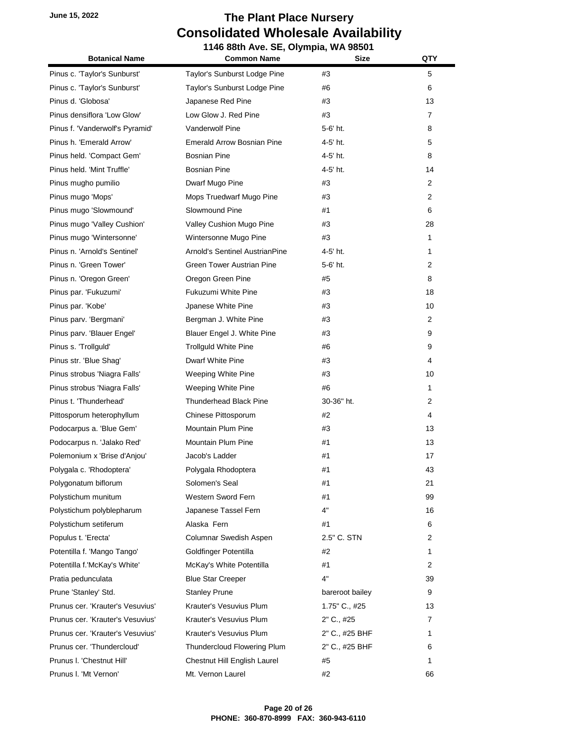| <b>Botanical Name</b>            | <b>Common Name</b>                | <b>Size</b>     | QTY            |
|----------------------------------|-----------------------------------|-----------------|----------------|
| Pinus c. 'Taylor's Sunburst'     | Taylor's Sunburst Lodge Pine      | #3              | 5              |
| Pinus c. 'Taylor's Sunburst'     | Taylor's Sunburst Lodge Pine      | #6              | 6              |
| Pinus d. 'Globosa'               | Japanese Red Pine                 | #3              | 13             |
| Pinus densiflora 'Low Glow'      | Low Glow J. Red Pine              | #3              | $\overline{7}$ |
| Pinus f. 'Vanderwolf's Pyramid'  | <b>Vanderwolf Pine</b>            | 5-6' ht.        | 8              |
| Pinus h. 'Emerald Arrow'         | <b>Emerald Arrow Bosnian Pine</b> | 4-5' ht.        | 5              |
| Pinus held. 'Compact Gem'        | <b>Bosnian Pine</b>               | 4-5' ht.        | 8              |
| Pinus held. 'Mint Truffle'       | <b>Bosnian Pine</b>               | 4-5' ht.        | 14             |
| Pinus mugho pumilio              | Dwarf Mugo Pine                   | #3              | 2              |
| Pinus mugo 'Mops'                | Mops Truedwarf Mugo Pine          | #3              | $\overline{2}$ |
| Pinus mugo 'Slowmound'           | Slowmound Pine                    | #1              | 6              |
| Pinus mugo 'Valley Cushion'      | Valley Cushion Mugo Pine          | #3              | 28             |
| Pinus mugo 'Wintersonne'         | Wintersonne Mugo Pine             | #3              | 1              |
| Pinus n. 'Arnold's Sentinel'     | Arnold's Sentinel AustrianPine    | 4-5' ht.        | 1              |
| Pinus n. 'Green Tower'           | <b>Green Tower Austrian Pine</b>  | 5-6' ht.        | 2              |
| Pinus n. 'Oregon Green'          | Oregon Green Pine                 | #5              | 8              |
| Pinus par. 'Fukuzumi'            | Fukuzumi White Pine               | #3              | 18             |
| Pinus par. 'Kobe'                | Jpanese White Pine                | #3              | 10             |
| Pinus parv. 'Bergmani'           | Bergman J. White Pine             | #3              | $\overline{2}$ |
| Pinus parv. 'Blauer Engel'       | Blauer Engel J. White Pine        | #3              | 9              |
| Pinus s. 'Trollguld'             | <b>Trollguid White Pine</b>       | #6              | 9              |
| Pinus str. 'Blue Shag'           | Dwarf White Pine                  | #3              | 4              |
| Pinus strobus 'Niagra Falls'     | Weeping White Pine                | #3              | 10             |
| Pinus strobus 'Niagra Falls'     | Weeping White Pine                | #6              | 1              |
| Pinus t. 'Thunderhead'           | <b>Thunderhead Black Pine</b>     | 30-36" ht.      | $\overline{2}$ |
| Pittosporum heterophyllum        | Chinese Pittosporum               | #2              | 4              |
| Podocarpus a. 'Blue Gem'         | Mountain Plum Pine                | #3              | 13             |
| Podocarpus n. 'Jalako Red'       | Mountain Plum Pine                | #1              | 13             |
| Polemonium x 'Brise d'Anjou'     | Jacob's Ladder                    | #1              | 17             |
| Polygala c. 'Rhodoptera'         | Polygala Rhodoptera               | #1              | 43             |
| Polygonatum biflorum             | Solomen's Seal                    | #1              | 21             |
| Polystichum munitum              | Western Sword Fern                | #1              | 99             |
| Polystichum polyblepharum        | Japanese Tassel Fern              | 4"              | 16             |
| Polystichum setiferum            | Alaska Fern                       | #1              | 6              |
| Populus t. 'Erecta'              | Columnar Swedish Aspen            | 2.5" C. STN     | 2              |
| Potentilla f. 'Mango Tango'      | Goldfinger Potentilla             | #2              | 1              |
| Potentilla f.'McKay's White'     | McKay's White Potentilla          | #1              | 2              |
| Pratia pedunculata               | <b>Blue Star Creeper</b>          | 4"              | 39             |
| Prune 'Stanley' Std.             | <b>Stanley Prune</b>              | bareroot bailey | 9              |
| Prunus cer. 'Krauter's Vesuvius' | Krauter's Vesuvius Plum           | 1.75" C., #25   | 13             |
| Prunus cer. 'Krauter's Vesuvius' | Krauter's Vesuvius Plum           | 2" C., #25      | 7              |
| Prunus cer. 'Krauter's Vesuvius' | Krauter's Vesuvius Plum           | 2" C., #25 BHF  | 1              |
| Prunus cer. 'Thundercloud'       | Thundercloud Flowering Plum       | 2" C., #25 BHF  | 6              |
| Prunus I. 'Chestnut Hill'        | Chestnut Hill English Laurel      | #5              | 1              |
| Prunus I. 'Mt Vernon'            | Mt. Vernon Laurel                 | #2              | 66             |
|                                  |                                   |                 |                |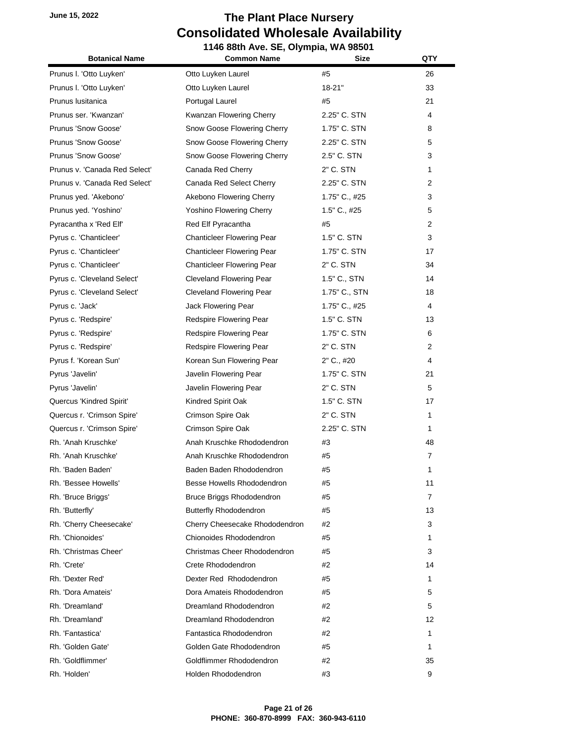| <b>Botanical Name</b>         | 1146 88th Ave. SE, Olympia, WA 98501<br><b>Common Name</b><br><b>Size</b> |               | QTY            |
|-------------------------------|---------------------------------------------------------------------------|---------------|----------------|
|                               |                                                                           |               |                |
| Prunus I. 'Otto Luyken'       | Otto Luyken Laurel                                                        | #5            | 26             |
| Prunus I. 'Otto Luyken'       | Otto Luyken Laurel                                                        | $18 - 21"$    | 33             |
| Prunus Iusitanica             | Portugal Laurel                                                           | #5            | 21             |
| Prunus ser. 'Kwanzan'         | Kwanzan Flowering Cherry                                                  | 2.25" C. STN  | 4              |
| Prunus 'Snow Goose'           | Snow Goose Flowering Cherry                                               | 1.75" C. STN  | 8              |
| Prunus 'Snow Goose'           | Snow Goose Flowering Cherry                                               | 2.25" C. STN  | 5              |
| Prunus 'Snow Goose'           | Snow Goose Flowering Cherry                                               | 2.5" C. STN   | 3              |
| Prunus v. 'Canada Red Select' | Canada Red Cherry                                                         | 2" C. STN     | 1              |
| Prunus v. 'Canada Red Select' | Canada Red Select Cherry                                                  | 2.25" C. STN  | 2              |
| Prunus yed. 'Akebono'         | Akebono Flowering Cherry                                                  | 1.75" C., #25 | 3              |
| Prunus yed. 'Yoshino'         | <b>Yoshino Flowering Cherry</b>                                           | 1.5" C., #25  | 5              |
| Pyracantha x 'Red Elf'        | Red Elf Pyracantha                                                        | #5            | $\overline{2}$ |
| Pyrus c. 'Chanticleer'        | <b>Chanticleer Flowering Pear</b>                                         | 1.5" C. STN   | 3              |
| Pyrus c. 'Chanticleer'        | <b>Chanticleer Flowering Pear</b>                                         | 1.75" C. STN  | 17             |
| Pyrus c. 'Chanticleer'        | <b>Chanticleer Flowering Pear</b>                                         | 2" C. STN     | 34             |
| Pyrus c. 'Cleveland Select'   | <b>Cleveland Flowering Pear</b>                                           | 1.5" C., STN  | 14             |
| Pyrus c. 'Cleveland Select'   | <b>Cleveland Flowering Pear</b>                                           | 1.75" C., STN | 18             |
| Pyrus c. 'Jack'               | Jack Flowering Pear                                                       | 1.75" C., #25 | 4              |
| Pyrus c. 'Redspire'           | Redspire Flowering Pear                                                   | 1.5" C. STN   | 13             |
| Pyrus c. 'Redspire'           | Redspire Flowering Pear                                                   | 1.75" C. STN  | 6              |
| Pyrus c. 'Redspire'           | Redspire Flowering Pear                                                   | 2" C. STN     | $\overline{2}$ |
| Pyrus f. 'Korean Sun'         | Korean Sun Flowering Pear                                                 | 2" C., #20    | 4              |
| Pyrus 'Javelin'               | Javelin Flowering Pear                                                    | 1.75" C. STN  | 21             |
| Pyrus 'Javelin'               | Javelin Flowering Pear                                                    | 2" C. STN     | 5              |
| Quercus 'Kindred Spirit'      | Kindred Spirit Oak                                                        | 1.5" C. STN   | 17             |
| Quercus r. 'Crimson Spire'    | Crimson Spire Oak                                                         | 2" C. STN     | $\mathbf{1}$   |
| Quercus r. 'Crimson Spire'    | Crimson Spire Oak                                                         | 2.25" C. STN  | $\mathbf{1}$   |
| Rh. 'Anah Kruschke'           | Anah Kruschke Rhododendron                                                | #3            | 48             |
| Rh. 'Anah Kruschke'           | Anah Kruschke Rhododendron                                                | #5            | $\overline{7}$ |
| Rh. 'Baden Baden'             | Baden Baden Rhododendron                                                  | #5            | 1              |
| Rh. 'Bessee Howells'          | Besse Howells Rhododendron                                                | #5            | 11             |
| Rh. 'Bruce Briggs'            | Bruce Briggs Rhododendron                                                 | #5            | 7              |
| Rh. 'Butterfly'               | <b>Butterfly Rhododendron</b>                                             | #5            | 13             |
| Rh. 'Cherry Cheesecake'       | Cherry Cheesecake Rhododendron                                            | #2            | 3              |
| Rh. 'Chionoides'              | Chionoides Rhododendron                                                   | #5            | 1              |
| Rh. 'Christmas Cheer'         | Christmas Cheer Rhododendron                                              | #5            | 3              |
| Rh. 'Crete'                   | Crete Rhododendron                                                        | #2            | 14             |
| Rh. 'Dexter Red'              | Dexter Red Rhododendron                                                   | #5            | 1              |
| Rh. 'Dora Amateis'            | Dora Amateis Rhododendron                                                 | #5            | 5              |
| Rh. 'Dreamland'               | Dreamland Rhododendron                                                    | #2            | 5              |
| Rh. 'Dreamland'               | Dreamland Rhododendron                                                    | #2            | 12             |
| Rh. 'Fantastica'              | Fantastica Rhododendron                                                   | #2            | 1              |
| Rh. 'Golden Gate'             | Golden Gate Rhododendron                                                  | #5            | 1              |
| Rh. 'Goldflimmer'             | Goldflimmer Rhododendron                                                  | #2            | 35             |
| Rh. 'Holden'                  | Holden Rhododendron                                                       | #3            | 9              |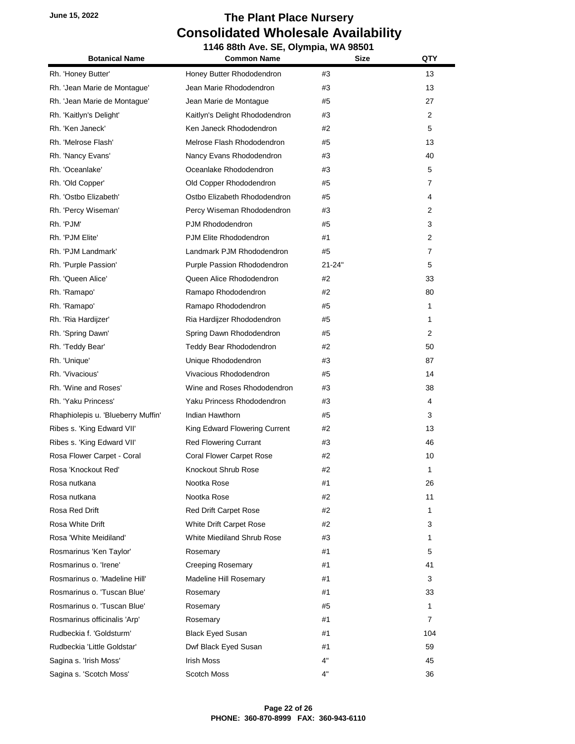| <b>Botanical Name</b>              | <b>Common Name</b>              | <b>Size</b> | QTY            |
|------------------------------------|---------------------------------|-------------|----------------|
| Rh. 'Honey Butter'                 | Honey Butter Rhododendron       | #3          | 13             |
| Rh. 'Jean Marie de Montague'       | Jean Marie Rhododendron         | #3          | 13             |
| Rh. 'Jean Marie de Montague'       | Jean Marie de Montague          | #5          | 27             |
| Rh. 'Kaitlyn's Delight'            | Kaitlyn's Delight Rhododendron  | #3          | $\overline{2}$ |
| Rh. 'Ken Janeck'                   | Ken Janeck Rhododendron         | #2          | 5              |
| Rh. 'Melrose Flash'                | Melrose Flash Rhododendron      | #5          | 13             |
| Rh. 'Nancy Evans'                  | Nancy Evans Rhododendron        | #3          | 40             |
| Rh. 'Oceanlake'                    | Oceanlake Rhododendron          | #3          | 5              |
| Rh. 'Old Copper'                   | Old Copper Rhododendron         | #5          | 7              |
| Rh. 'Ostbo Elizabeth'              | Ostbo Elizabeth Rhododendron    | #5          | 4              |
| Rh. 'Percy Wiseman'                | Percy Wiseman Rhododendron      | #3          | 2              |
| Rh. 'PJM'                          | PJM Rhododendron                | #5          | 3              |
| Rh. 'PJM Elite'                    | PJM Elite Rhododendron          | #1          | 2              |
| Rh. 'PJM Landmark'                 | Landmark PJM Rhododendron       | #5          | 7              |
| Rh. 'Purple Passion'               | Purple Passion Rhododendron     | 21-24"      | 5              |
| Rh. 'Queen Alice'                  | Queen Alice Rhododendron        | #2          | 33             |
| Rh. 'Ramapo'                       | Ramapo Rhododendron             | #2          | 80             |
| Rh. 'Ramapo'                       | Ramapo Rhododendron             | #5          | 1              |
| Rh. 'Ria Hardijzer'                | Ria Hardijzer Rhododendron      | #5          | 1              |
| Rh. 'Spring Dawn'                  | Spring Dawn Rhododendron        | #5          | 2              |
| Rh. 'Teddy Bear'                   | Teddy Bear Rhododendron         | #2          | 50             |
| Rh. 'Unique'                       | Unique Rhododendron             | #3          | 87             |
| Rh. 'Vivacious'                    | Vivacious Rhododendron          | #5          | 14             |
| Rh. 'Wine and Roses'               | Wine and Roses Rhododendron     | #3          | 38             |
| Rh. 'Yaku Princess'                | Yaku Princess Rhododendron      | #3          | 4              |
| Rhaphiolepis u. 'Blueberry Muffin' | Indian Hawthorn                 | #5          | 3              |
| Ribes s. 'King Edward VII'         | King Edward Flowering Current   | #2          | 13             |
| Ribes s. 'King Edward VII'         | <b>Red Flowering Currant</b>    | #3          | 46             |
| Rosa Flower Carpet - Coral         | <b>Coral Flower Carpet Rose</b> | #2          | 10             |
| Rosa 'Knockout Red'                | Knockout Shrub Rose             | #2          | 1              |
| Rosa nutkana                       | Nootka Rose                     | #1          | 26             |
| Rosa nutkana                       | Nootka Rose                     | #2          | 11             |
| Rosa Red Drift                     | <b>Red Drift Carpet Rose</b>    | #2          | 1              |
| Rosa White Drift                   | White Drift Carpet Rose         | #2          | 3              |
| Rosa 'White Meidiland'             | White Miediland Shrub Rose      | #3          | 1              |
| Rosmarinus 'Ken Taylor'            | Rosemary                        | #1          | 5              |
| Rosmarinus o. 'Irene'              | <b>Creeping Rosemary</b>        | #1          | 41             |
| Rosmarinus o. 'Madeline Hill'      | Madeline Hill Rosemary          | #1          | 3              |
| Rosmarinus o. 'Tuscan Blue'        | Rosemary                        | #1          | 33             |
| Rosmarinus o. 'Tuscan Blue'        | Rosemary                        | #5          | 1              |
| Rosmarinus officinalis 'Arp'       | Rosemary                        | #1          | 7              |
| Rudbeckia f. 'Goldsturm'           | <b>Black Eyed Susan</b>         | #1          | 104            |
| Rudbeckia 'Little Goldstar'        | Dwf Black Eyed Susan            | #1          | 59             |
| Sagina s. 'Irish Moss'             | <b>Irish Moss</b>               | 4"          | 45             |
| Sagina s. 'Scotch Moss'            | <b>Scotch Moss</b>              | 4"          | 36             |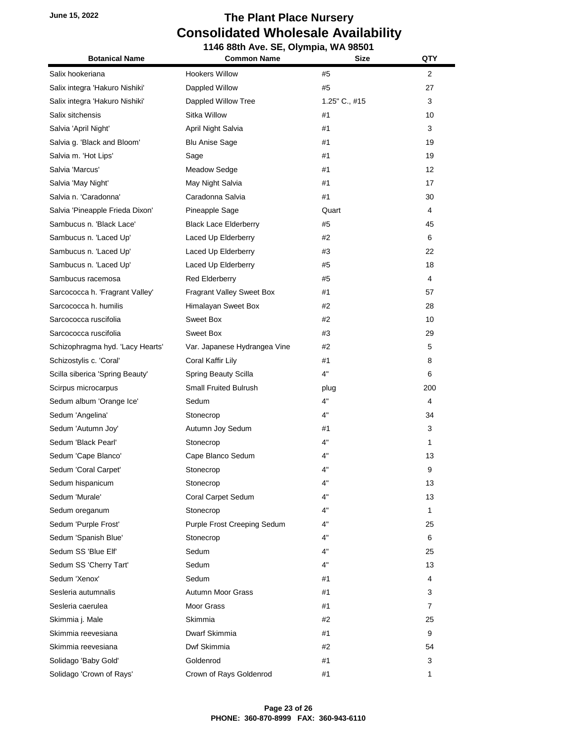| <b>Botanical Name</b>            | 1146 88th Ave. SE, Olympia, WA 98501<br><b>Common Name</b> | <b>Size</b>   | QTY            |
|----------------------------------|------------------------------------------------------------|---------------|----------------|
| Salix hookeriana                 | <b>Hookers Willow</b>                                      |               | $\overline{2}$ |
| Salix integra 'Hakuro Nishiki'   | Dappled Willow                                             | #5<br>#5      | 27             |
| Salix integra 'Hakuro Nishiki'   | Dappled Willow Tree                                        | 1.25" C., #15 | 3              |
| Salix sitchensis                 | Sitka Willow                                               | #1            | 10             |
| Salvia 'April Night'             | April Night Salvia                                         | #1            | 3              |
| Salvia g. 'Black and Bloom'      | <b>Blu Anise Sage</b>                                      | #1            | 19             |
| Salvia m. 'Hot Lips'             | Sage                                                       | #1            | 19             |
| Salvia 'Marcus'                  | <b>Meadow Sedge</b>                                        | #1            | 12             |
| Salvia 'May Night'               | May Night Salvia                                           | #1            | 17             |
| Salvia n. 'Caradonna'            | Caradonna Salvia                                           | #1            | 30             |
| Salvia 'Pineapple Frieda Dixon'  | Pineapple Sage                                             | Quart         | 4              |
| Sambucus n. 'Black Lace'         |                                                            |               | 45             |
|                                  | <b>Black Lace Elderberry</b>                               | #5            |                |
| Sambucus n. 'Laced Up'           | Laced Up Elderberry                                        | #2            | 6              |
| Sambucus n. 'Laced Up'           | Laced Up Elderberry                                        | #3            | 22             |
| Sambucus n. 'Laced Up'           | Laced Up Elderberry                                        | #5            | 18             |
| Sambucus racemosa                | <b>Red Elderberry</b>                                      | #5            | 4              |
| Sarcococca h. 'Fragrant Valley'  | Fragrant Valley Sweet Box                                  | #1            | 57             |
| Sarcococca h. humilis            | Himalayan Sweet Box                                        | #2            | 28             |
| Sarcococca ruscifolia            | Sweet Box                                                  | #2            | 10             |
| Sarcococca ruscifolia            | Sweet Box                                                  | #3            | 29             |
| Schizophragma hyd. 'Lacy Hearts' | Var. Japanese Hydrangea Vine                               | #2            | 5              |
| Schizostylis c. 'Coral'          | Coral Kaffir Lily                                          | #1            | 8              |
| Scilla siberica 'Spring Beauty'  | <b>Spring Beauty Scilla</b>                                | 4"            | 6              |
| Scirpus microcarpus              | <b>Small Fruited Bulrush</b>                               | plug          | 200            |
| Sedum album 'Orange Ice'         | Sedum                                                      | 4"            | 4              |
| Sedum 'Angelina'                 | Stonecrop                                                  | 4"            | 34             |
| Sedum 'Autumn Joy'               | Autumn Joy Sedum                                           | #1            | 3              |
| Sedum 'Black Pearl'              | Stonecrop                                                  | 4"            | 1              |
| Sedum 'Cape Blanco'              | Cape Blanco Sedum                                          | 4"            | 13             |
| Sedum 'Coral Carpet'             | Stonecrop                                                  | 4"            | 9              |
| Sedum hispanicum                 | Stonecrop                                                  | 4"            | 13             |
| Sedum 'Murale'                   | Coral Carpet Sedum                                         | 4"            | 13             |
| Sedum oreganum                   | Stonecrop                                                  | 4"            | $\mathbf{1}$   |
| Sedum 'Purple Frost'             | Purple Frost Creeping Sedum                                | 4"            | 25             |
| Sedum 'Spanish Blue'             | Stonecrop                                                  | 4"            | 6              |
| Sedum SS 'Blue Elf'              | Sedum                                                      | 4"            | 25             |
| Sedum SS 'Cherry Tart'           | Sedum                                                      | 4"            | 13             |
| Sedum 'Xenox'                    | Sedum                                                      | #1            | 4              |
| Sesleria autumnalis              | <b>Autumn Moor Grass</b>                                   | #1            | 3              |
| Sesleria caerulea                | Moor Grass                                                 | #1            | $\overline{7}$ |
| Skimmia j. Male                  | Skimmia                                                    | #2            | 25             |
| Skimmia reevesiana               | Dwarf Skimmia                                              | #1            | 9              |
| Skimmia reevesiana               | Dwf Skimmia                                                | #2            | 54             |
| Solidago 'Baby Gold'             | Goldenrod                                                  | #1            | 3              |
| Solidago 'Crown of Rays'         | Crown of Rays Goldenrod                                    | #1            | 1              |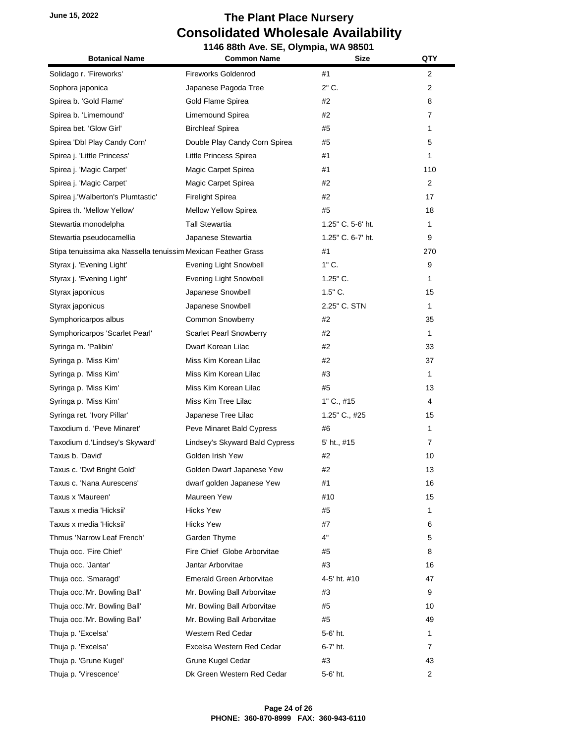|                                                               | 1146 88th Ave. SE, Olympia, WA 98501 |                   |                |
|---------------------------------------------------------------|--------------------------------------|-------------------|----------------|
| <b>Botanical Name</b>                                         | <b>Common Name</b>                   | <b>Size</b>       | QTY            |
| Solidago r. 'Fireworks'                                       | <b>Fireworks Goldenrod</b>           | #1                | $\overline{2}$ |
| Sophora japonica                                              | Japanese Pagoda Tree                 | $2"$ C.           | $\overline{2}$ |
| Spirea b. 'Gold Flame'                                        | Gold Flame Spirea                    | #2                | 8              |
| Spirea b. 'Limemound'                                         | Limemound Spirea                     | #2                | 7              |
| Spirea bet. 'Glow Girl'                                       | <b>Birchleaf Spirea</b>              | #5                | 1              |
| Spirea 'Dbl Play Candy Corn'                                  | Double Play Candy Corn Spirea        | #5                | 5              |
| Spirea j. 'Little Princess'                                   | Little Princess Spirea               | #1                | 1              |
| Spirea j. 'Magic Carpet'                                      | Magic Carpet Spirea                  | #1                | 110            |
| Spirea j. 'Magic Carpet'                                      | Magic Carpet Spirea                  | #2                | $\overline{2}$ |
| Spirea j. 'Walberton's Plumtastic'                            | <b>Firelight Spirea</b>              | #2                | 17             |
| Spirea th. 'Mellow Yellow'                                    | Mellow Yellow Spirea                 | #5                | 18             |
| Stewartia monodelpha                                          | Tall Stewartia                       | 1.25" C. 5-6' ht. | 1              |
| Stewartia pseudocamellia                                      | Japanese Stewartia                   | 1.25" C. 6-7' ht. | 9              |
| Stipa tenuissima aka Nassella tenuissim Mexican Feather Grass |                                      | #1                | 270            |
| Styrax j. 'Evening Light'                                     | <b>Evening Light Snowbell</b>        | $1"$ C.           | 9              |
| Styrax j. 'Evening Light'                                     | Evening Light Snowbell               | $1.25"$ C.        | 1              |
| Styrax japonicus                                              | Japanese Snowbell                    | $1.5"$ C.         | 15             |
| Styrax japonicus                                              | Japanese Snowbell                    | 2.25" C. STN      | 1              |
| Symphoricarpos albus                                          | <b>Common Snowberry</b>              | #2                | 35             |
| Symphoricarpos 'Scarlet Pearl'                                | <b>Scarlet Pearl Snowberry</b>       | #2                | 1              |
| Syringa m. 'Palibin'                                          | Dwarf Korean Lilac                   | #2                | 33             |
| Syringa p. 'Miss Kim'                                         | Miss Kim Korean Lilac                | #2                | 37             |
| Syringa p. 'Miss Kim'                                         | Miss Kim Korean Lilac                | #3                | $\mathbf{1}$   |
| Syringa p. 'Miss Kim'                                         | Miss Kim Korean Lilac                | #5                | 13             |
| Syringa p. 'Miss Kim'                                         | Miss Kim Tree Lilac                  | $1"$ C., #15      | 4              |
| Syringa ret. 'Ivory Pillar'                                   | Japanese Tree Lilac                  | 1.25" C., #25     | 15             |
| Taxodium d. 'Peve Minaret'                                    | Peve Minaret Bald Cypress            | #6                | 1              |
| Taxodium d.'Lindsey's Skyward'                                | Lindsey's Skyward Bald Cypress       | 5' ht., #15       | 7              |
| Taxus b. 'David'                                              | Golden Irish Yew                     | #2                | 10             |
| Taxus c. 'Dwf Bright Gold'                                    | Golden Dwarf Japanese Yew            | #2                | 13             |
| Taxus c. 'Nana Aurescens'                                     | dwarf golden Japanese Yew            | #1                | 16             |
| Taxus x 'Maureen'                                             | Maureen Yew                          | #10               | 15             |
| Taxus x media 'Hicksii'                                       | <b>Hicks Yew</b>                     | #5                | 1              |
| Taxus x media 'Hicksii'                                       | <b>Hicks Yew</b>                     | #7                | 6              |
| Thmus 'Narrow Leaf French'                                    | Garden Thyme                         | 4"                | 5              |
| Thuja occ. 'Fire Chief'                                       | Fire Chief Globe Arborvitae          | #5                | 8              |
| Thuja occ. 'Jantar'                                           | Jantar Arborvitae                    | #3                | 16             |
| Thuja occ. 'Smaragd'                                          | Emerald Green Arborvitae             | 4-5' ht. #10      | 47             |
| Thuja occ.'Mr. Bowling Ball'                                  | Mr. Bowling Ball Arborvitae          | #3                | 9              |
| Thuja occ.'Mr. Bowling Ball'                                  | Mr. Bowling Ball Arborvitae          | #5                | 10             |
| Thuja occ.'Mr. Bowling Ball'                                  | Mr. Bowling Ball Arborvitae          | #5                | 49             |
| Thuja p. 'Excelsa'                                            | Western Red Cedar                    | 5-6' ht.          | 1              |
| Thuja p. 'Excelsa'                                            | Excelsa Western Red Cedar            | 6-7' ht.          | 7              |
| Thuja p. 'Grune Kugel'                                        | Grune Kugel Cedar                    | #3                | 43             |
| Thuja p. 'Virescence'                                         | Dk Green Western Red Cedar           | 5-6' ht.          | 2              |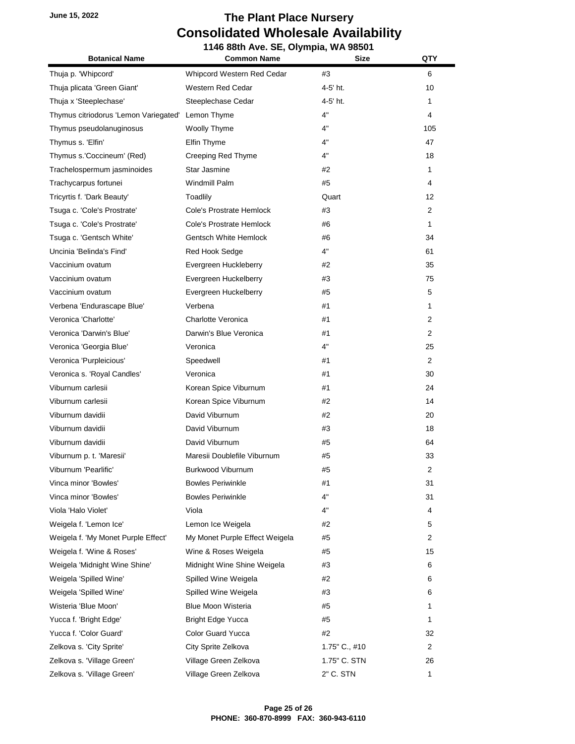#### **June 15, 2022 The Plant Place Nursery Consolidated Wholesale Availability 1146 88th Ave. SE, Olympia, WA 98501**

| <b>Botanical Name</b>                             | -, vijiliplu, t<br><b>Common Name</b> | Size          | QTY            |
|---------------------------------------------------|---------------------------------------|---------------|----------------|
| Thuja p. 'Whipcord'                               | Whipcord Western Red Cedar            | #3            | 6              |
| Thuja plicata 'Green Giant'                       | Western Red Cedar                     | 4-5' ht.      | 10             |
| Thuja x 'Steeplechase'                            | Steeplechase Cedar                    | 4-5' ht.      | 1              |
| Thymus citriodorus 'Lemon Variegated' Lemon Thyme |                                       | 4"            | 4              |
| Thymus pseudolanuginosus                          | Woolly Thyme                          | 4"            | 105            |
| Thymus s. 'Elfin'                                 | Elfin Thyme                           | 4"            | 47             |
| Thymus s.'Coccineum' (Red)                        | Creeping Red Thyme                    | 4"            | 18             |
| Trachelospermum jasminoides                       | Star Jasmine                          | #2            | 1              |
| Trachycarpus fortunei                             | <b>Windmill Palm</b>                  | #5            | 4              |
| Tricyrtis f. 'Dark Beauty'                        | Toadlily                              | Quart         | 12             |
| Tsuga c. 'Cole's Prostrate'                       | Cole's Prostrate Hemlock              | #3            | 2              |
| Tsuga c. 'Cole's Prostrate'                       | Cole's Prostrate Hemlock              | #6            | 1              |
| Tsuga c. 'Gentsch White'                          | Gentsch White Hemlock                 | #6            | 34             |
| Uncinia 'Belinda's Find'                          | Red Hook Sedge                        | 4"            | 61             |
| Vaccinium ovatum                                  | Evergreen Huckleberry                 | #2            | 35             |
| Vaccinium ovatum                                  | Evergreen Huckelberry                 | #3            | 75             |
| Vaccinium ovatum                                  | Evergreen Huckelberry                 | #5            | 5              |
| Verbena 'Endurascape Blue'                        | Verbena                               | #1            | 1              |
| Veronica 'Charlotte'                              | Charlotte Veronica                    | #1            | $\overline{2}$ |
| Veronica 'Darwin's Blue'                          | Darwin's Blue Veronica                | #1            | 2              |
| Veronica 'Georgia Blue'                           | Veronica                              | 4"            | 25             |
| Veronica 'Purpleicious'                           | Speedwell                             | #1            | $\overline{2}$ |
| Veronica s. 'Royal Candles'                       | Veronica                              | #1            | 30             |
| Viburnum carlesii                                 | Korean Spice Viburnum                 | #1            | 24             |
| Viburnum carlesii                                 | Korean Spice Viburnum                 | #2            | 14             |
| Viburnum davidii                                  | David Viburnum                        | #2            | 20             |
| Viburnum davidii                                  | David Viburnum                        | #3            | 18             |
| Viburnum davidii                                  | David Viburnum                        | #5            | 64             |
| Viburnum p. t. 'Maresii'                          | Maresii Doublefile Viburnum           | #5            | 33             |
| Viburnum 'Pearlific'                              | Burkwood Viburnum                     | #5            | 2              |
| Vinca minor 'Bowles'                              | <b>Bowles Periwinkle</b>              | #1            | 31             |
| Vinca minor 'Bowles'                              | <b>Bowles Periwinkle</b>              | 4"            | 31             |
| Viola 'Halo Violet'                               | Viola                                 | 4"            | 4              |
| Weigela f. 'Lemon Ice'                            | Lemon Ice Weigela                     | #2            | 5              |
| Weigela f. 'My Monet Purple Effect'               | My Monet Purple Effect Weigela        | #5            | 2              |
| Weigela f. 'Wine & Roses'                         | Wine & Roses Weigela                  | #5            | 15             |
| Weigela 'Midnight Wine Shine'                     | Midnight Wine Shine Weigela           | #3            | 6              |
| Weigela 'Spilled Wine'                            | Spilled Wine Weigela                  | #2            | 6              |
| Weigela 'Spilled Wine'                            | Spilled Wine Weigela                  | #3            | 6              |
| Wisteria 'Blue Moon'                              | <b>Blue Moon Wisteria</b>             | #5            | 1              |
| Yucca f. 'Bright Edge'                            | <b>Bright Edge Yucca</b>              | #5            | 1              |
| Yucca f. 'Color Guard'                            | Color Guard Yucca                     | #2            | 32             |
| Zelkova s. 'City Sprite'                          | City Sprite Zelkova                   | 1.75" C., #10 | 2              |
| Zelkova s. 'Village Green'                        | Village Green Zelkova                 | 1.75" C. STN  | 26             |
| Zelkova s. 'Village Green'                        | Village Green Zelkova                 | 2" C. STN     | 1              |